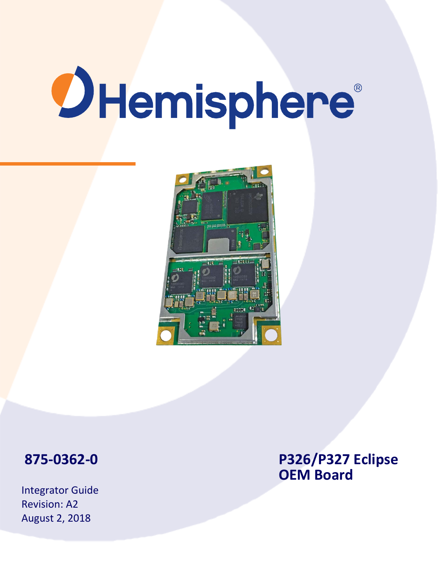# **OHemisphere**®



# **875 -0362 -**

Integrator Guide Revision: A2 August 2, 2018

**0 P326/P327 Eclipse OEM Board**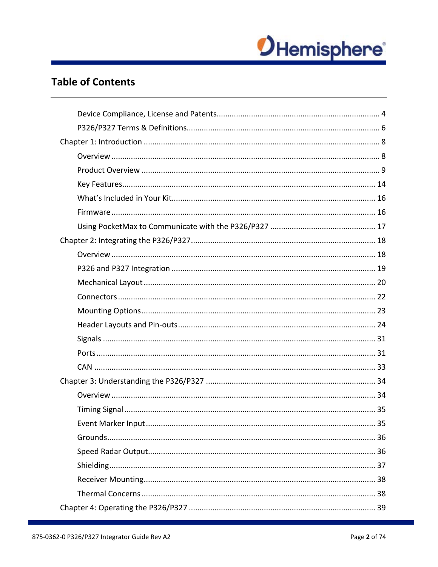

# **Table of Contents**

| 35<br>Event Marker Input. |  |
|---------------------------|--|
|                           |  |
|                           |  |
|                           |  |
|                           |  |
|                           |  |
|                           |  |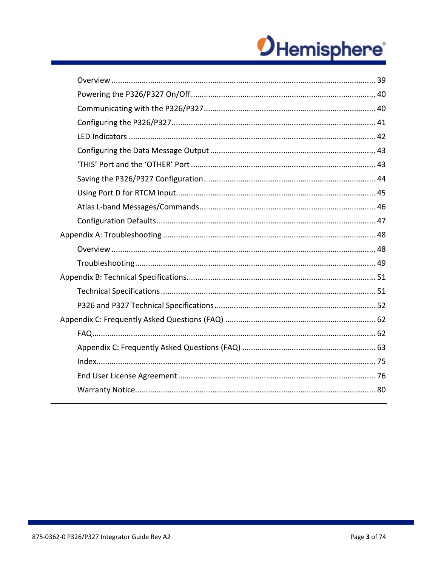# OHemisphere®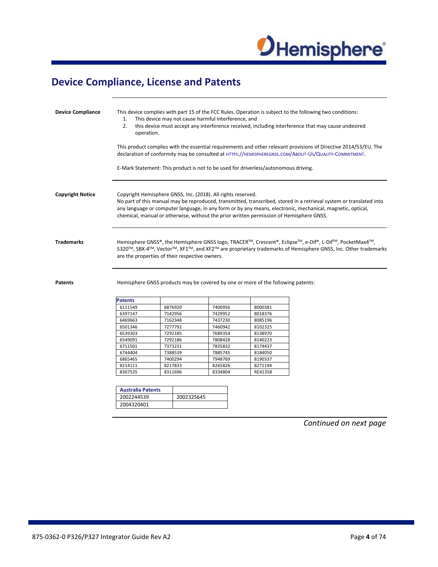

# <span id="page-3-0"></span>**Device Compliance, License and Patents**

| <b>Device Compliance</b> | 1.<br>2.<br>operation.                                                                                                                                                                                                                                                  |                                                                                                                                                                                                                                                                                                                                                                                              | This device may not cause harmful interference, and |         |  |                                                                                  | This device complies with part 15 of the FCC Rules. Operation is subject to the following two conditions:<br>this device must accept any interference received, including interference that may cause undesired |
|--------------------------|-------------------------------------------------------------------------------------------------------------------------------------------------------------------------------------------------------------------------------------------------------------------------|----------------------------------------------------------------------------------------------------------------------------------------------------------------------------------------------------------------------------------------------------------------------------------------------------------------------------------------------------------------------------------------------|-----------------------------------------------------|---------|--|----------------------------------------------------------------------------------|-----------------------------------------------------------------------------------------------------------------------------------------------------------------------------------------------------------------|
|                          | This product complies with the essential requirements and other relevant provisions of Directive 2014/53/EU. The<br>declaration of conformity may be consulted at HTTPS://HEMISPHEREGNSS.COM/ABOUT-US/QUALITY-COMMITMENT.                                               |                                                                                                                                                                                                                                                                                                                                                                                              |                                                     |         |  |                                                                                  |                                                                                                                                                                                                                 |
|                          | E-Mark Statement: This product is not to be used for driverless/autonomous driving.                                                                                                                                                                                     |                                                                                                                                                                                                                                                                                                                                                                                              |                                                     |         |  |                                                                                  |                                                                                                                                                                                                                 |
| <b>Copyright Notice</b>  |                                                                                                                                                                                                                                                                         | Copyright Hemisphere GNSS, Inc. (2018). All rights reserved.<br>No part of this manual may be reproduced, transmitted, transcribed, stored in a retrieval system or translated into<br>any language or computer language, in any form or by any means, electronic, mechanical, magnetic, optical,<br>chemical, manual or otherwise, without the prior written permission of Hemisphere GNSS. |                                                     |         |  |                                                                                  |                                                                                                                                                                                                                 |
| <b>Trademarks</b>        | Hemisphere GNSS®, the Hemisphere GNSS logo, TRACER™, Crescent®, Eclipse™, e-Dif®, L-Dif™, PocketMax4™,<br>S320™, SBX-4™, Vector™, XF1™, and XF2™ are proprietary trademarks of Hemisphere GNSS, Inc. Other trademarks<br>are the properties of their respective owners. |                                                                                                                                                                                                                                                                                                                                                                                              |                                                     |         |  |                                                                                  |                                                                                                                                                                                                                 |
| <b>Patents</b>           |                                                                                                                                                                                                                                                                         |                                                                                                                                                                                                                                                                                                                                                                                              |                                                     |         |  | Hemisphere GNSS products may be covered by one or more of the following patents: |                                                                                                                                                                                                                 |
|                          | <b>Patents</b>                                                                                                                                                                                                                                                          |                                                                                                                                                                                                                                                                                                                                                                                              |                                                     |         |  |                                                                                  |                                                                                                                                                                                                                 |
|                          | 6111549                                                                                                                                                                                                                                                                 |                                                                                                                                                                                                                                                                                                                                                                                              | 6876920                                             | 7400956 |  | 8000381                                                                          |                                                                                                                                                                                                                 |
|                          | 6397147                                                                                                                                                                                                                                                                 |                                                                                                                                                                                                                                                                                                                                                                                              | 7142956                                             | 7429952 |  | 8018376                                                                          |                                                                                                                                                                                                                 |
|                          | 6469663                                                                                                                                                                                                                                                                 |                                                                                                                                                                                                                                                                                                                                                                                              | 7162348                                             | 7437230 |  | 8085196                                                                          |                                                                                                                                                                                                                 |
|                          | 6501346                                                                                                                                                                                                                                                                 |                                                                                                                                                                                                                                                                                                                                                                                              | 7277792                                             | 7460942 |  | 8102325                                                                          |                                                                                                                                                                                                                 |
|                          | 6539303                                                                                                                                                                                                                                                                 |                                                                                                                                                                                                                                                                                                                                                                                              | 7292185                                             | 7689354 |  | 8138970                                                                          |                                                                                                                                                                                                                 |
|                          | 6549091                                                                                                                                                                                                                                                                 |                                                                                                                                                                                                                                                                                                                                                                                              | 7292186                                             | 7808428 |  | 8140223                                                                          |                                                                                                                                                                                                                 |
|                          | 6711501                                                                                                                                                                                                                                                                 |                                                                                                                                                                                                                                                                                                                                                                                              | 7373231                                             | 7835832 |  | 8174437                                                                          |                                                                                                                                                                                                                 |
|                          | 6744404                                                                                                                                                                                                                                                                 |                                                                                                                                                                                                                                                                                                                                                                                              | 7388539                                             | 7885745 |  | 8184050                                                                          |                                                                                                                                                                                                                 |
|                          | 6865465                                                                                                                                                                                                                                                                 |                                                                                                                                                                                                                                                                                                                                                                                              | 7400294                                             | 7948769 |  | 8190337                                                                          |                                                                                                                                                                                                                 |
|                          | 8214111                                                                                                                                                                                                                                                                 |                                                                                                                                                                                                                                                                                                                                                                                              | 8217833                                             | 8265826 |  | 8271194                                                                          |                                                                                                                                                                                                                 |
|                          | 8307535                                                                                                                                                                                                                                                                 |                                                                                                                                                                                                                                                                                                                                                                                              | 8311696                                             | 8334804 |  | RE41358                                                                          |                                                                                                                                                                                                                 |
|                          |                                                                                                                                                                                                                                                                         |                                                                                                                                                                                                                                                                                                                                                                                              |                                                     |         |  |                                                                                  |                                                                                                                                                                                                                 |
|                          | <b>Australia Patents</b>                                                                                                                                                                                                                                                |                                                                                                                                                                                                                                                                                                                                                                                              |                                                     |         |  |                                                                                  |                                                                                                                                                                                                                 |
|                          | 2002244539                                                                                                                                                                                                                                                              |                                                                                                                                                                                                                                                                                                                                                                                              | 2002325645                                          |         |  |                                                                                  |                                                                                                                                                                                                                 |
|                          | 2004320401                                                                                                                                                                                                                                                              |                                                                                                                                                                                                                                                                                                                                                                                              |                                                     |         |  |                                                                                  |                                                                                                                                                                                                                 |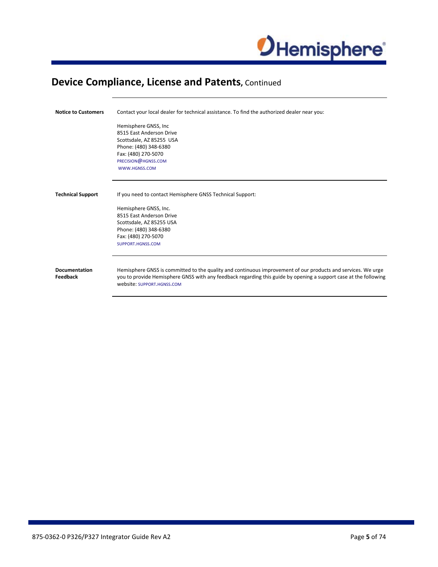

# **Device Compliance, License and Patents, Continued**

| <b>Notice to Customers</b>       | Contact your local dealer for technical assistance. To find the authorized dealer near you:                                                                                                                                                                    |
|----------------------------------|----------------------------------------------------------------------------------------------------------------------------------------------------------------------------------------------------------------------------------------------------------------|
|                                  | Hemisphere GNSS, Inc.<br>8515 East Anderson Drive<br>Scottsdale, AZ 85255 USA<br>Phone: (480) 348-6380<br>Fax: (480) 270-5070<br>PRECISION@HGNSS.COM<br>WWW.HGNSS.COM                                                                                          |
| <b>Technical Support</b>         | If you need to contact Hemisphere GNSS Technical Support:<br>Hemisphere GNSS, Inc.<br>8515 East Anderson Drive<br>Scottsdale, AZ 85255 USA<br>Phone: (480) 348-6380<br>Fax: (480) 270-5070<br>SUPPORT.HGNSS.COM                                                |
| <b>Documentation</b><br>Feedback | Hemisphere GNSS is committed to the quality and continuous improvement of our products and services. We urge<br>you to provide Hemisphere GNSS with any feedback regarding this guide by opening a support case at the following<br>website: SUPPORT.HGNSS.COM |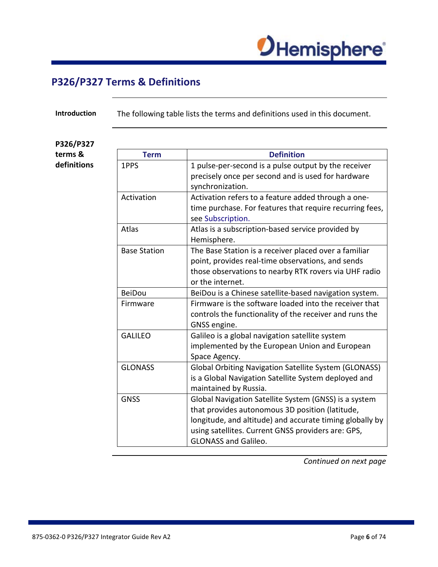

# <span id="page-5-0"></span>**P326/P327 Terms & Definitions**

**Introduction** The following table lists the terms and definitions used in this document.

### **P326/P327 terms & definitions**

| <b>Term</b>         | <b>Definition</b>                                            |
|---------------------|--------------------------------------------------------------|
| 1PPS                | 1 pulse-per-second is a pulse output by the receiver         |
|                     | precisely once per second and is used for hardware           |
|                     | synchronization.                                             |
| Activation          | Activation refers to a feature added through a one-          |
|                     | time purchase. For features that require recurring fees,     |
|                     | see Subscription.                                            |
| Atlas               | Atlas is a subscription-based service provided by            |
|                     | Hemisphere.                                                  |
| <b>Base Station</b> | The Base Station is a receiver placed over a familiar        |
|                     | point, provides real-time observations, and sends            |
|                     | those observations to nearby RTK rovers via UHF radio        |
|                     | or the internet.                                             |
| <b>BeiDou</b>       | BeiDou is a Chinese satellite-based navigation system.       |
| Firmware            | Firmware is the software loaded into the receiver that       |
|                     | controls the functionality of the receiver and runs the      |
|                     | GNSS engine.                                                 |
| <b>GALILEO</b>      | Galileo is a global navigation satellite system              |
|                     | implemented by the European Union and European               |
|                     | Space Agency.                                                |
| <b>GLONASS</b>      | <b>Global Orbiting Navigation Satellite System (GLONASS)</b> |
|                     | is a Global Navigation Satellite System deployed and         |
|                     | maintained by Russia.                                        |
| <b>GNSS</b>         | Global Navigation Satellite System (GNSS) is a system        |
|                     | that provides autonomous 3D position (latitude,              |
|                     | longitude, and altitude) and accurate timing globally by     |
|                     | using satellites. Current GNSS providers are: GPS,           |
|                     | <b>GLONASS and Galileo.</b>                                  |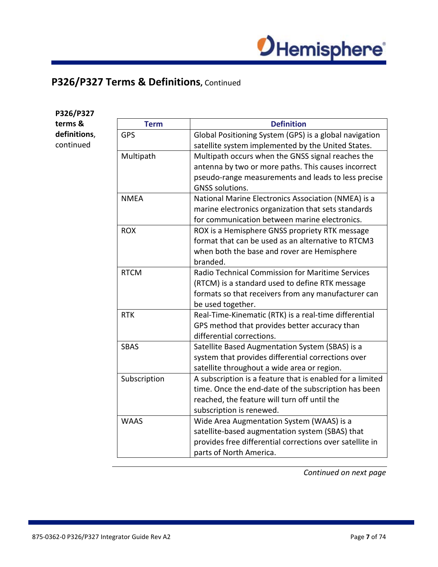

# **P326/P327 Terms & Definitions,** Continued

| P326/P327    |              |                                                           |
|--------------|--------------|-----------------------------------------------------------|
| terms &      | <b>Term</b>  | <b>Definition</b>                                         |
| definitions, | <b>GPS</b>   | Global Positioning System (GPS) is a global navigation    |
| continued    |              | satellite system implemented by the United States.        |
|              | Multipath    | Multipath occurs when the GNSS signal reaches the         |
|              |              | antenna by two or more paths. This causes incorrect       |
|              |              | pseudo-range measurements and leads to less precise       |
|              |              | GNSS solutions.                                           |
|              | <b>NMEA</b>  | National Marine Electronics Association (NMEA) is a       |
|              |              | marine electronics organization that sets standards       |
|              |              | for communication between marine electronics.             |
|              | <b>ROX</b>   | ROX is a Hemisphere GNSS propriety RTK message            |
|              |              | format that can be used as an alternative to RTCM3        |
|              |              | when both the base and rover are Hemisphere               |
|              |              | branded.                                                  |
|              | <b>RTCM</b>  | Radio Technical Commission for Maritime Services          |
|              |              | (RTCM) is a standard used to define RTK message           |
|              |              | formats so that receivers from any manufacturer can       |
|              |              | be used together.                                         |
|              | <b>RTK</b>   | Real-Time-Kinematic (RTK) is a real-time differential     |
|              |              | GPS method that provides better accuracy than             |
|              |              | differential corrections.                                 |
|              | <b>SBAS</b>  | Satellite Based Augmentation System (SBAS) is a           |
|              |              | system that provides differential corrections over        |
|              |              | satellite throughout a wide area or region.               |
|              | Subscription | A subscription is a feature that is enabled for a limited |
|              |              | time. Once the end-date of the subscription has been      |
|              |              | reached, the feature will turn off until the              |
|              |              | subscription is renewed.                                  |
|              | <b>WAAS</b>  | Wide Area Augmentation System (WAAS) is a                 |
|              |              | satellite-based augmentation system (SBAS) that           |
|              |              | provides free differential corrections over satellite in  |
|              |              | parts of North America.                                   |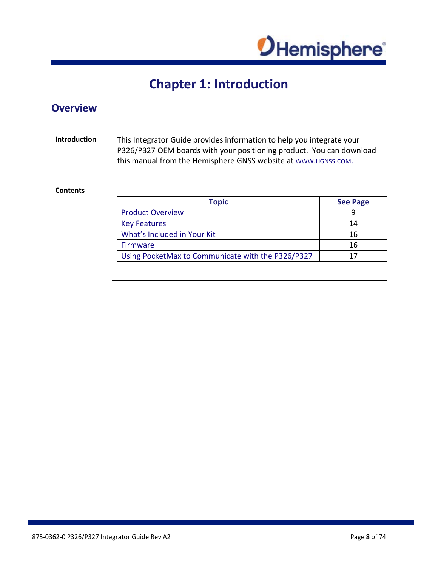

# **Chapter 1: Introduction**

<span id="page-7-1"></span><span id="page-7-0"></span>

| <b>Introduction</b> | This Integrator Guide provides information to help you integrate your<br>P326/P327 OEM boards with your positioning product. You can download<br>this manual from the Hemisphere GNSS website at www.HGNSS.COM. |                 |
|---------------------|-----------------------------------------------------------------------------------------------------------------------------------------------------------------------------------------------------------------|-----------------|
|                     |                                                                                                                                                                                                                 |                 |
| <b>Contents</b>     |                                                                                                                                                                                                                 |                 |
|                     | <b>Topic</b>                                                                                                                                                                                                    | <b>See Page</b> |
|                     | <b>Product Overview</b>                                                                                                                                                                                         | 9               |
|                     | <b>Key Features</b>                                                                                                                                                                                             | 14              |
|                     | What's Included in Your Kit                                                                                                                                                                                     | 16              |
|                     | <b>Firmware</b>                                                                                                                                                                                                 | 16              |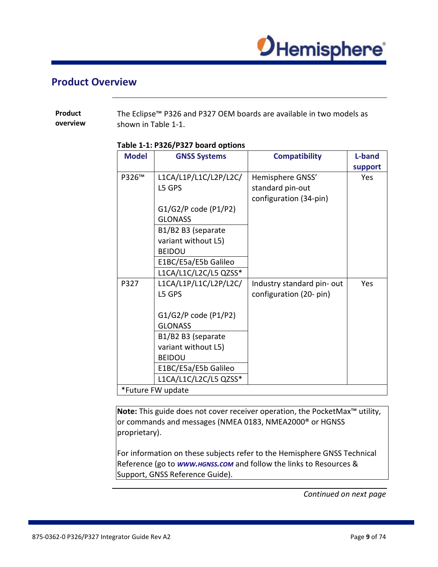

### <span id="page-8-0"></span>**Product Overview**

| Product  | The Eclipse <sup>™</sup> P326 and P327 OEM boards are available in two models as |
|----------|----------------------------------------------------------------------------------|
| overview | shown in Table 1-1.                                                              |

### **Table 1-1: P326/P327 board options**

| <b>Model</b> | <b>GNSS Systems</b>   | <b>Compatibility</b>      | L-band  |
|--------------|-----------------------|---------------------------|---------|
|              |                       |                           | support |
| P326™        | L1CA/L1P/L1C/L2P/L2C/ | Hemisphere GNSS'          | Yes     |
|              | L5 GPS                | standard pin-out          |         |
|              |                       | configuration (34-pin)    |         |
|              | G1/G2/P code (P1/P2)  |                           |         |
|              | <b>GLONASS</b>        |                           |         |
|              | B1/B2 B3 (separate    |                           |         |
|              | variant without L5)   |                           |         |
|              | <b>BEIDOU</b>         |                           |         |
|              | E1BC/E5a/E5b Galileo  |                           |         |
|              | L1CA/L1C/L2C/L5 QZSS* |                           |         |
| P327         | L1CA/L1P/L1C/L2P/L2C/ | Industry standard pin-out | Yes     |
|              | L5 GPS                | configuration (20- pin)   |         |
|              |                       |                           |         |
|              | G1/G2/P code (P1/P2)  |                           |         |
|              | <b>GLONASS</b>        |                           |         |
|              | B1/B2 B3 (separate    |                           |         |
|              | variant without L5)   |                           |         |
|              | <b>BEIDOU</b>         |                           |         |
|              | E1BC/E5a/E5b Galileo  |                           |         |
|              | L1CA/L1C/L2C/L5 QZSS* |                           |         |
|              | *Future FW update     |                           |         |

**Note:** This guide does not cover receiver operation, the PocketMax™ utility, or commands and messages (NMEA 0183, NMEA2000<sup>®</sup> or HGNSS proprietary).

For information on these subjects refer to the Hemisphere GNSS Technical Reference (go to **www.HGNSS.com** and follow the links to Resources & Support, GNSS Reference Guide).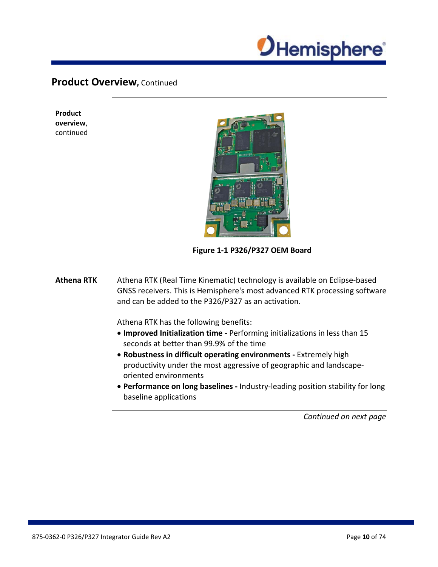

**Product overview**, continued



**Figure 1-1 P326/P327 OEM Board**

**Athena RTK** Athena RTK (Real Time Kinematic) technology is available on Eclipse-based GNSS receivers. This is Hemisphere's most advanced RTK processing software and can be added to the P326/P327 as an activation.

Athena RTK has the following benefits:

- **Improved Initialization time -** Performing initializations in less than 15 seconds at better than 99.9% of the time
- **Robustness in difficult operating environments -** Extremely high productivity under the most aggressive of geographic and landscapeoriented environments
- **Performance on long baselines -** Industry-leading position stability for long baseline applications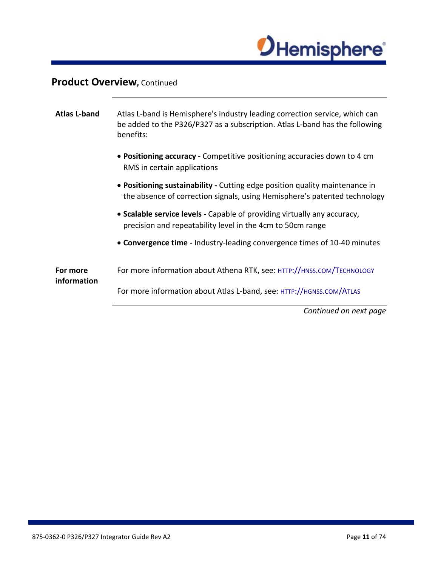

| <b>Atlas L-band</b>     | Atlas L-band is Hemisphere's industry leading correction service, which can<br>be added to the P326/P327 as a subscription. Atlas L-band has the following<br>benefits: |
|-------------------------|-------------------------------------------------------------------------------------------------------------------------------------------------------------------------|
|                         | • Positioning accuracy - Competitive positioning accuracies down to 4 cm<br>RMS in certain applications                                                                 |
|                         | • Positioning sustainability - Cutting edge position quality maintenance in<br>the absence of correction signals, using Hemisphere's patented technology                |
|                         | • Scalable service levels - Capable of providing virtually any accuracy,<br>precision and repeatability level in the 4cm to 50cm range                                  |
|                         | • Convergence time - Industry-leading convergence times of 10-40 minutes                                                                                                |
| For more<br>information | For more information about Athena RTK, see: HTTP://HNSS.COM/TECHNOLOGY                                                                                                  |
|                         | For more information about Atlas L-band, see: HTTP://HGNSS.COM/ATLAS                                                                                                    |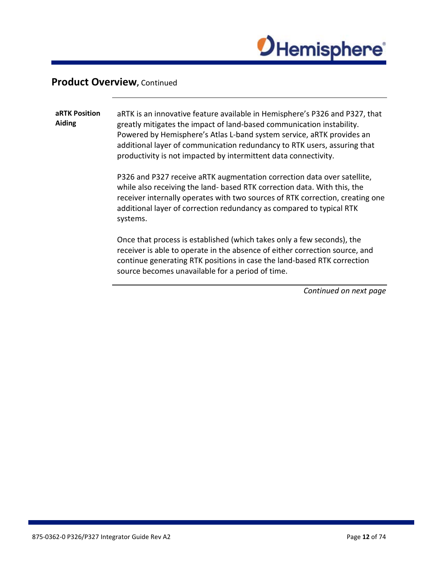

**aRTK Position Aiding** aRTK is an innovative feature available in Hemisphere's P326 and P327, that greatly mitigates the impact of land-based communication instability. Powered by Hemisphere's Atlas L-band system service, aRTK provides an additional layer of communication redundancy to RTK users, assuring that productivity is not impacted by intermittent data connectivity.

> P326 and P327 receive aRTK augmentation correction data over satellite, while also receiving the land- based RTK correction data. With this, the receiver internally operates with two sources of RTK correction, creating one additional layer of correction redundancy as compared to typical RTK systems.

Once that process is established (which takes only a few seconds), the receiver is able to operate in the absence of either correction source, and continue generating RTK positions in case the land-based RTK correction source becomes unavailable for a period of time.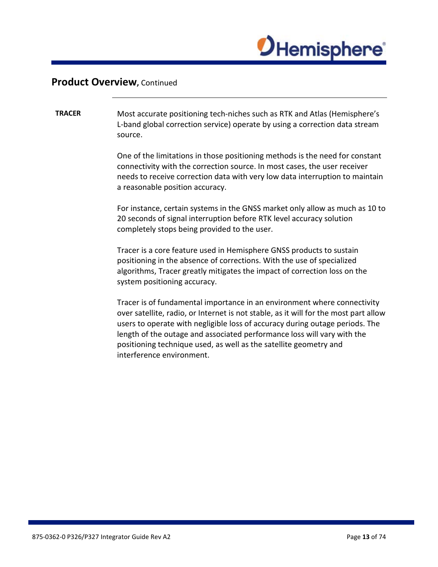

### **TRACER** Most accurate positioning tech-niches such as RTK and Atlas (Hemisphere's L-band global correction service) operate by using a correction data stream source.

One of the limitations in those positioning methods is the need for constant connectivity with the correction source. In most cases, the user receiver needs to receive correction data with very low data interruption to maintain a reasonable position accuracy.

For instance, certain systems in the GNSS market only allow as much as 10 to 20 seconds of signal interruption before RTK level accuracy solution completely stops being provided to the user.

Tracer is a core feature used in Hemisphere GNSS products to sustain positioning in the absence of corrections. With the use of specialized algorithms, Tracer greatly mitigates the impact of correction loss on the system positioning accuracy.

Tracer is of fundamental importance in an environment where connectivity over satellite, radio, or Internet is not stable, as it will for the most part allow users to operate with negligible loss of accuracy during outage periods. The length of the outage and associated performance loss will vary with the positioning technique used, as well as the satellite geometry and interference environment.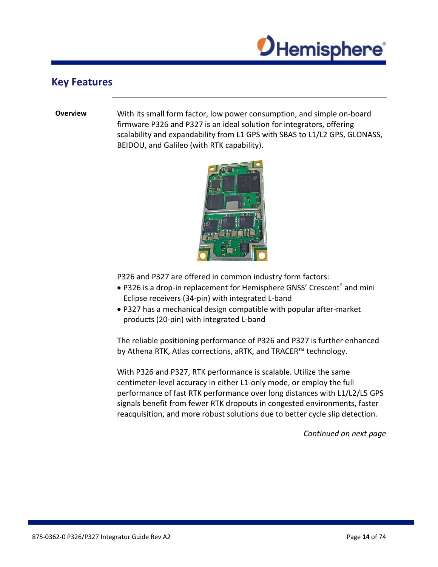

### <span id="page-13-0"></span>**Key Features**

**Overview** With its small form factor, low power consumption, and simple on-board firmware P326 and P327 is an ideal solution for integrators, offering scalability and expandability from L1 GPS with SBAS to L1/L2 GPS, GLONASS, BEIDOU, and Galileo (with RTK capability).



P326 and P327 are offered in common industry form factors:

- P326 is a drop-in replacement for Hemisphere GNSS' Crescent® and mini Eclipse receivers (34-pin) with integrated L-band
- P327 has a mechanical design compatible with popular after-market products (20-pin) with integrated L-band

The reliable positioning performance of P326 and P327 is further enhanced by Athena RTK, Atlas corrections, aRTK, and TRACER™ technology.

With P326 and P327, RTK performance is scalable. Utilize the same centimeter-level accuracy in either L1-only mode, or employ the full performance of fast RTK performance over long distances with L1/L2/L5 GPS signals benefit from fewer RTK dropouts in congested environments, faster reacquisition, and more robust solutions due to better cycle slip detection.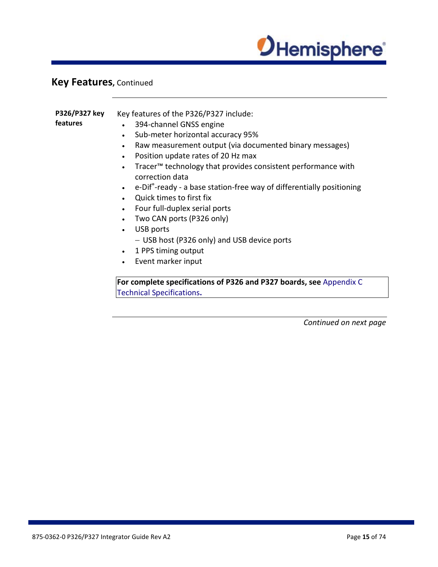

# **Key Features,** Continued

| P326/P327 key<br>features | Key features of the P326/P327 include:<br>394-channel GNSS engine<br>$\bullet$<br>Sub-meter horizontal accuracy 95%<br>$\bullet$<br>Raw measurement output (via documented binary messages)<br>$\bullet$<br>Position update rates of 20 Hz max<br>$\bullet$<br>Tracer <sup>™</sup> technology that provides consistent performance with<br>$\bullet$<br>correction data<br>e-Dif <sup>®</sup> -ready - a base station-free way of differentially positioning<br>$\bullet$<br>Quick times to first fix<br>Four full-duplex serial ports<br>$\bullet$<br>Two CAN ports (P326 only)<br>$\bullet$ |
|---------------------------|-----------------------------------------------------------------------------------------------------------------------------------------------------------------------------------------------------------------------------------------------------------------------------------------------------------------------------------------------------------------------------------------------------------------------------------------------------------------------------------------------------------------------------------------------------------------------------------------------|
|                           | USB ports<br>$\bullet$<br>- USB host (P326 only) and USB device ports<br>1 PPS timing output<br>$\bullet$<br>Event marker input<br>$\bullet$                                                                                                                                                                                                                                                                                                                                                                                                                                                  |
|                           | For complete specifications of P326 and P327 boards, see Appendix C<br><b>Technical Specifications.</b>                                                                                                                                                                                                                                                                                                                                                                                                                                                                                       |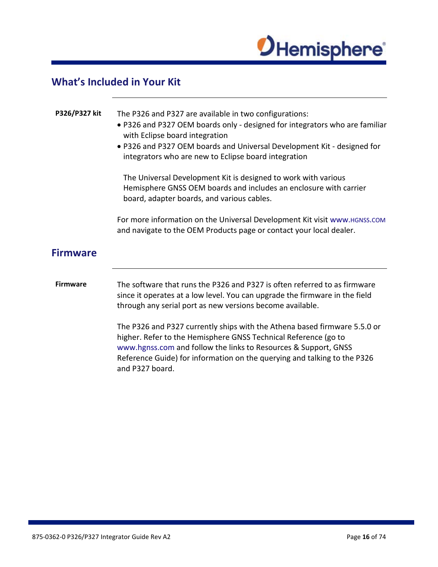

# <span id="page-15-0"></span>**What's Included in Your Kit**

<span id="page-15-1"></span>

| P326/P327 kit   | The P326 and P327 are available in two configurations:<br>• P326 and P327 OEM boards only - designed for integrators who are familiar<br>with Eclipse board integration<br>. P326 and P327 OEM boards and Universal Development Kit - designed for<br>integrators who are new to Eclipse board integration<br>The Universal Development Kit is designed to work with various<br>Hemisphere GNSS OEM boards and includes an enclosure with carrier<br>board, adapter boards, and various cables. |
|-----------------|-------------------------------------------------------------------------------------------------------------------------------------------------------------------------------------------------------------------------------------------------------------------------------------------------------------------------------------------------------------------------------------------------------------------------------------------------------------------------------------------------|
|                 | For more information on the Universal Development Kit visit www. HGNSS.COM<br>and navigate to the OEM Products page or contact your local dealer.                                                                                                                                                                                                                                                                                                                                               |
| <b>Firmware</b> |                                                                                                                                                                                                                                                                                                                                                                                                                                                                                                 |
| <b>Firmware</b> | The software that runs the P326 and P327 is often referred to as firmware<br>since it operates at a low level. You can upgrade the firmware in the field<br>through any serial port as new versions become available.                                                                                                                                                                                                                                                                           |
|                 | The P326 and P327 currently ships with the Athena based firmware 5.5.0 or<br>higher. Refer to the Hemisphere GNSS Technical Reference (go to<br>www.hgnss.com and follow the links to Resources & Support, GNSS<br>Reference Guide) for information on the querying and talking to the P326<br>and P327 board.                                                                                                                                                                                  |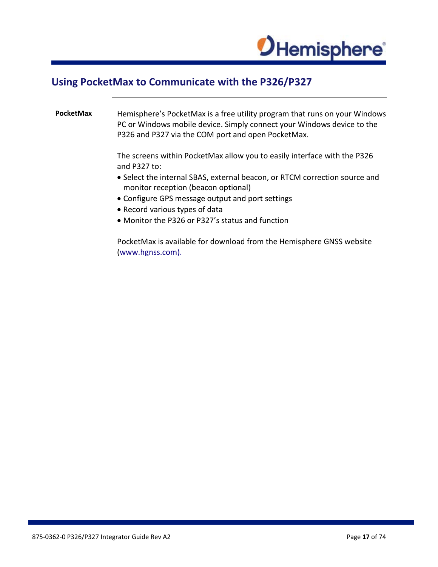

### <span id="page-16-0"></span>**Using PocketMax to Communicate with the P326/P327**

**PocketMax** Hemisphere's PocketMax is a free utility program that runs on your Windows PC or Windows mobile device. Simply connect your Windows device to the P326 and P327 via the COM port and open PocketMax.

> The screens within PocketMax allow you to easily interface with the P326 and P327 to:

- Select the internal SBAS, external beacon, or RTCM correction source and monitor reception (beacon optional)
- Configure GPS message output and port settings
- Record various types of data
- Monitor the P326 or P327's status and function

PocketMax is available for download from the Hemisphere GNSS website (www.hgnss.com).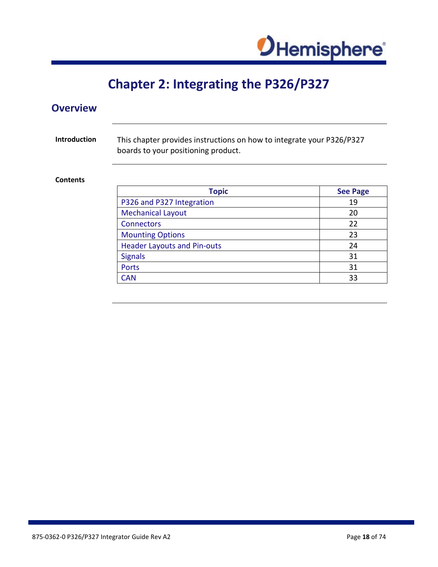

# **Chapter 2: Integrating the P326/P327**

<span id="page-17-1"></span><span id="page-17-0"></span>

| <b>Overview</b>     |                                                                                                              |                 |
|---------------------|--------------------------------------------------------------------------------------------------------------|-----------------|
| <b>Introduction</b> | This chapter provides instructions on how to integrate your P326/P327<br>boards to your positioning product. |                 |
| <b>Contents</b>     |                                                                                                              |                 |
|                     | <b>Topic</b>                                                                                                 | <b>See Page</b> |
|                     | P326 and P327 Integration                                                                                    | 19              |
|                     | <b>Mechanical Layout</b>                                                                                     | 20              |
|                     | <b>Connectors</b>                                                                                            | 22              |
|                     | <b>Mounting Options</b>                                                                                      | 23              |
|                     | <b>Header Layouts and Pin-outs</b>                                                                           | 24              |
|                     | <b>Signals</b>                                                                                               | 31              |
|                     | Ports                                                                                                        | 31              |
|                     | <b>CAN</b>                                                                                                   | 33              |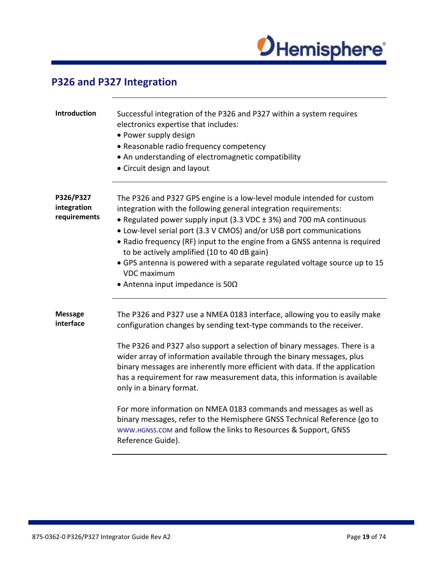

# <span id="page-18-0"></span>**P326 and P327 Integration**

| Introduction                             | Successful integration of the P326 and P327 within a system requires<br>electronics expertise that includes:<br>• Power supply design<br>• Reasonable radio frequency competency<br>• An understanding of electromagnetic compatibility<br>• Circuit design and layout                                                                                                                                                                                                                                                                                                                                                                                                                                                                    |
|------------------------------------------|-------------------------------------------------------------------------------------------------------------------------------------------------------------------------------------------------------------------------------------------------------------------------------------------------------------------------------------------------------------------------------------------------------------------------------------------------------------------------------------------------------------------------------------------------------------------------------------------------------------------------------------------------------------------------------------------------------------------------------------------|
| P326/P327<br>integration<br>requirements | The P326 and P327 GPS engine is a low-level module intended for custom<br>integration with the following general integration requirements:<br>• Regulated power supply input (3.3 VDC ± 3%) and 700 mA continuous<br>• Low-level serial port (3.3 V CMOS) and/or USB port communications<br>• Radio frequency (RF) input to the engine from a GNSS antenna is required<br>to be actively amplified (10 to 40 dB gain)<br>• GPS antenna is powered with a separate regulated voltage source up to 15<br><b>VDC</b> maximum<br>• Antenna input impedance is $50\Omega$                                                                                                                                                                      |
| <b>Message</b><br>interface              | The P326 and P327 use a NMEA 0183 interface, allowing you to easily make<br>configuration changes by sending text-type commands to the receiver.<br>The P326 and P327 also support a selection of binary messages. There is a<br>wider array of information available through the binary messages, plus<br>binary messages are inherently more efficient with data. If the application<br>has a requirement for raw measurement data, this information is available<br>only in a binary format.<br>For more information on NMEA 0183 commands and messages as well as<br>binary messages, refer to the Hemisphere GNSS Technical Reference (go to<br>WWW.HGNSS.COM and follow the links to Resources & Support, GNSS<br>Reference Guide). |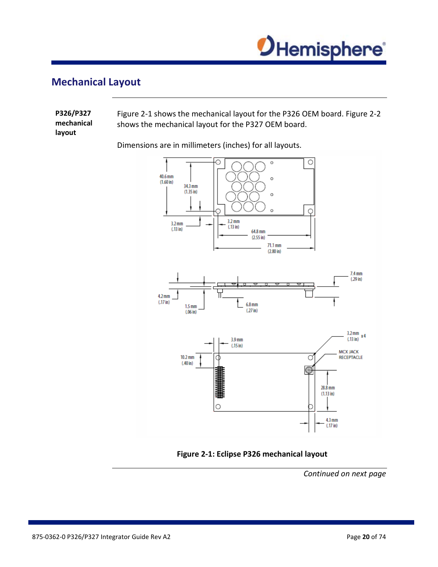

# <span id="page-19-0"></span>**Mechanical Layout**

| P326/P327            | Figure 2-1 shows the mechanical layout for the P326 OEM board. Figure 2-2 |
|----------------------|---------------------------------------------------------------------------|
| mechanical<br>lavout | shows the mechanical layout for the P327 OEM board.                       |

Dimensions are in millimeters (inches) for all layouts.



**Figure 2-1: Eclipse P326 mechanical layout**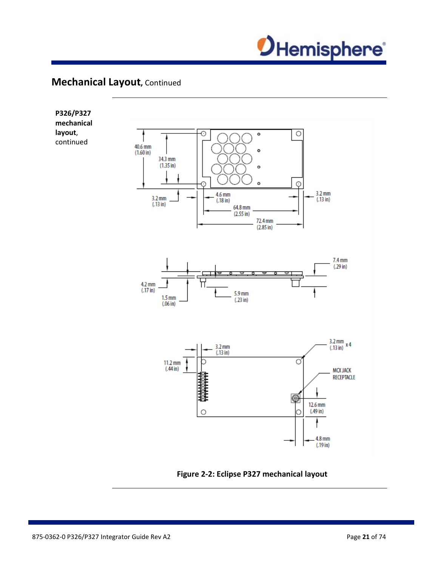

# **Mechanical Layout,** Continued



**Figure 2-2: Eclipse P327 mechanical layout**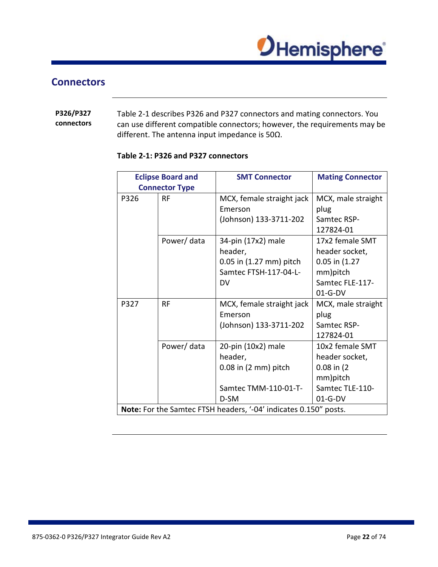

### <span id="page-21-0"></span>**Connectors**

### **P326/P327 connectors** Table 2-1 describes P326 and P327 connectors and mating connectors. You can use different compatible connectors; however, the requirements may be different. The antenna input impedance is 50Ω.

| <b>Eclipse Board and</b> |                       | <b>SMT Connector</b>                                             | <b>Mating Connector</b> |
|--------------------------|-----------------------|------------------------------------------------------------------|-------------------------|
|                          | <b>Connector Type</b> |                                                                  |                         |
| P326                     | <b>RF</b>             | MCX, female straight jack                                        | MCX, male straight      |
|                          |                       | Emerson                                                          | plug                    |
|                          |                       | (Johnson) 133-3711-202                                           | Samtec RSP-             |
|                          |                       |                                                                  | 127824-01               |
|                          | Power/data            | 34-pin (17x2) male                                               | 17x2 female SMT         |
|                          |                       | header,                                                          | header socket,          |
|                          |                       | 0.05 in (1.27 mm) pitch                                          | 0.05 in (1.27           |
|                          |                       | Samtec FTSH-117-04-L-                                            | mm)pitch                |
|                          |                       | DV                                                               | Samtec FLE-117-         |
|                          |                       |                                                                  | $01-G-DV$               |
| P327                     | RF                    | MCX, female straight jack                                        | MCX, male straight      |
|                          |                       | Emerson                                                          | plug                    |
|                          |                       | (Johnson) 133-3711-202                                           | Samtec RSP-             |
|                          |                       |                                                                  | 127824-01               |
|                          | Power/data            | 20-pin (10x2) male                                               | 10x2 female SMT         |
|                          |                       | header,                                                          | header socket,          |
|                          |                       | $0.08$ in $(2 \text{ mm})$ pitch                                 | $0.08$ in $(2)$         |
|                          |                       |                                                                  | mm)pitch                |
|                          |                       | Samtec TMM-110-01-T-                                             | Samtec TLE-110-         |
|                          |                       | D-SM                                                             | $01-G-DV$               |
|                          |                       | Note: For the Samtec FTSH headers, '-04' indicates 0.150" posts. |                         |

### <span id="page-21-1"></span>**Table 2-1: P326 and P327 connectors**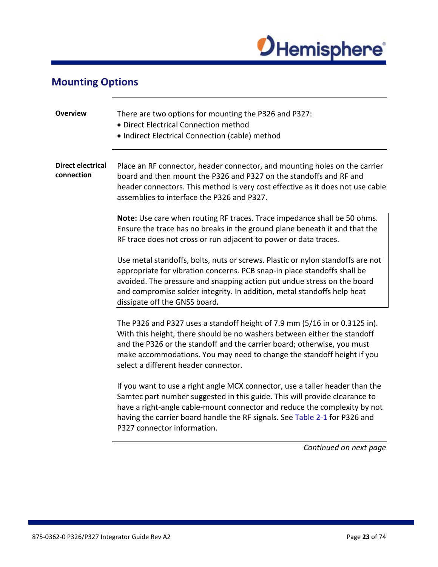

# <span id="page-22-0"></span>**Mounting Options**

| <b>Overview</b>                        | There are two options for mounting the P326 and P327:<br>• Direct Electrical Connection method<br>• Indirect Electrical Connection (cable) method                                                                                                                                                                                                    |
|----------------------------------------|------------------------------------------------------------------------------------------------------------------------------------------------------------------------------------------------------------------------------------------------------------------------------------------------------------------------------------------------------|
| <b>Direct electrical</b><br>connection | Place an RF connector, header connector, and mounting holes on the carrier<br>board and then mount the P326 and P327 on the standoffs and RF and<br>header connectors. This method is very cost effective as it does not use cable<br>assemblies to interface the P326 and P327.                                                                     |
|                                        | Note: Use care when routing RF traces. Trace impedance shall be 50 ohms.<br>Ensure the trace has no breaks in the ground plane beneath it and that the<br>RF trace does not cross or run adjacent to power or data traces.                                                                                                                           |
|                                        | Use metal standoffs, bolts, nuts or screws. Plastic or nylon standoffs are not<br>appropriate for vibration concerns. PCB snap-in place standoffs shall be<br>avoided. The pressure and snapping action put undue stress on the board<br>and compromise solder integrity. In addition, metal standoffs help heat<br>dissipate off the GNSS board.    |
|                                        | The P326 and P327 uses a standoff height of 7.9 mm (5/16 in or 0.3125 in).<br>With this height, there should be no washers between either the standoff<br>and the P326 or the standoff and the carrier board; otherwise, you must<br>make accommodations. You may need to change the standoff height if you<br>select a different header connector.  |
|                                        | If you want to use a right angle MCX connector, use a taller header than the<br>Samtec part number suggested in this guide. This will provide clearance to<br>have a right-angle cable-mount connector and reduce the complexity by not<br>having the carrier board handle the RF signals. See Table 2-1 for P326 and<br>P327 connector information. |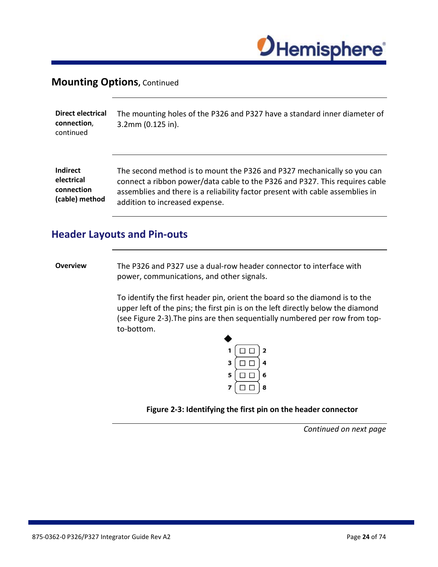

### **Mounting Options, Continued**

| Direct electrical<br>connection,<br>continued | The mounting holes of the P326 and P327 have a standard inner diameter of<br>$3.2$ mm $(0.125$ in). |
|-----------------------------------------------|-----------------------------------------------------------------------------------------------------|
| <b>Indirect</b>                               | The second method is to mount the P326 and P327 mechanically so you can                             |
| electrical                                    | connect a ribbon power/data cable to the P326 and P327. This requires cable                         |
| connection                                    | assemblies and there is a reliability factor present with cable assemblies in                       |
| (cable) method                                | addition to increased expense.                                                                      |

## <span id="page-23-0"></span>**Header Layouts and Pin-outs**

**Overview** The P326 and P327 use a dual-row header connector to interface with power, communications, and other signals.

> To identify the first header pin, orient the board so the diamond is to the upper left of the pins; the first pin is on the left directly below the diamond (see Figure 2-3).The pins are then sequentially numbered per row from topto-bottom.



**Figure 2-3: Identifying the first pin on the header connector**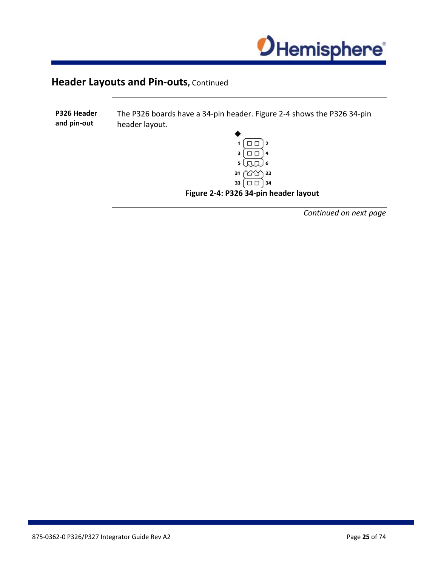

**P326 Header**  The P326 boards have a 34-pin header. Figure 2-4 shows the P326 34-pin **and pin-out** header layout.  $\Box$  $3\Box$  4  $5\left(\pi\pi\right)$  6 31 111 32 33  $\boxed{ \square \square }$  34

**Figure 2-4: P326 34-pin header layout**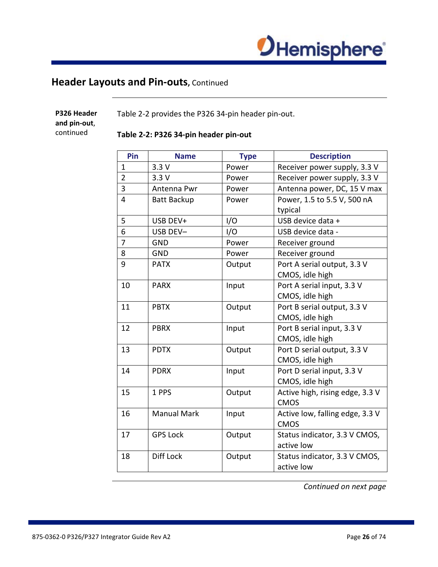

| P326 Header<br>and pin-out,<br>continued |                | Table 2-2 provides the P326 34-pin header pin-out.<br>Table 2-2: P326 34-pin header pin-out |             |                                                |  |
|------------------------------------------|----------------|---------------------------------------------------------------------------------------------|-------------|------------------------------------------------|--|
|                                          | Pin            | <b>Name</b>                                                                                 | <b>Type</b> | <b>Description</b>                             |  |
|                                          | $\mathbf{1}$   | 3.3V                                                                                        | Power       | Receiver power supply, 3.3 V                   |  |
|                                          | $\overline{2}$ | 3.3V                                                                                        | Power       | Receiver power supply, 3.3 V                   |  |
|                                          | $\overline{3}$ | Antenna Pwr                                                                                 | Power       | Antenna power, DC, 15 V max                    |  |
|                                          | $\overline{4}$ | Batt Backup                                                                                 | Power       | Power, 1.5 to 5.5 V, 500 nA<br>typical         |  |
|                                          | 5              | USB DEV+                                                                                    | I/O         | USB device data +                              |  |
|                                          | 6              | USB DEV-                                                                                    | I/O         | USB device data -                              |  |
|                                          | $\overline{7}$ | <b>GND</b>                                                                                  | Power       | Receiver ground                                |  |
|                                          | 8              | <b>GND</b>                                                                                  | Power       | Receiver ground                                |  |
|                                          | 9              | <b>PATX</b>                                                                                 | Output      | Port A serial output, 3.3 V<br>CMOS, idle high |  |
|                                          | 10             | <b>PARX</b>                                                                                 | Input       | Port A serial input, 3.3 V<br>CMOS, idle high  |  |
|                                          | 11             | <b>PBTX</b>                                                                                 | Output      | Port B serial output, 3.3 V<br>CMOS, idle high |  |
|                                          | 12             | <b>PBRX</b>                                                                                 | Input       | Port B serial input, 3.3 V<br>CMOS, idle high  |  |
|                                          | 13             | <b>PDTX</b>                                                                                 | Output      | Port D serial output, 3.3 V                    |  |

14 PDRX | Input | Port D serial input, 3.3 V

15 | 1 PPS | Output | Active high, rising edge, 3.3 V

16 | Manual Mark | Input | Active low, falling edge, 3.3 V

17 | GPS Lock | Output | Status indicator, 3.3 V CMOS,

18 | Diff Lock | Output | Status indicator, 3.3 V CMOS,

*Continued on next page*

CMOS, idle high

CMOS, idle high

CMOS

CMOS

active low

active low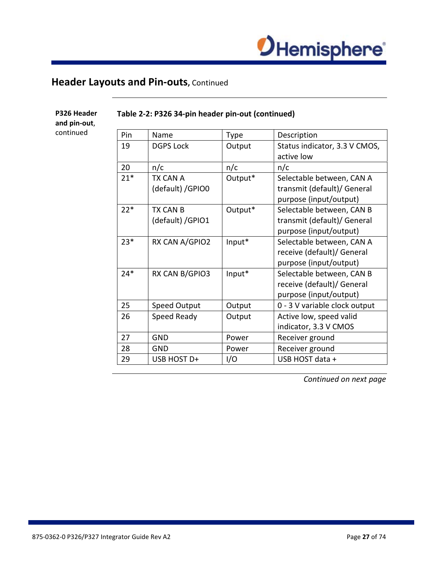

| Pin   | Name                | Type    | Description                   |
|-------|---------------------|---------|-------------------------------|
| 19    | <b>DGPS Lock</b>    | Output  | Status indicator, 3.3 V CMOS, |
|       |                     |         | active low                    |
| 20    | n/c                 | n/c     | n/c                           |
| $21*$ | TX CAN A            | Output* | Selectable between, CAN A     |
|       | (default) / GPIO0   |         | transmit (default)/ General   |
|       |                     |         | purpose (input/output)        |
| $22*$ | TX CAN B            | Output* | Selectable between, CAN B     |
|       | (default) / GPIO1   |         | transmit (default)/ General   |
|       |                     |         | purpose (input/output)        |
| $23*$ | RX CAN A/GPIO2      | Input*  | Selectable between, CAN A     |
|       |                     |         | receive (default)/ General    |
|       |                     |         | purpose (input/output)        |
| $24*$ | RX CAN B/GPIO3      | Input*  | Selectable between, CAN B     |
|       |                     |         | receive (default)/ General    |
|       |                     |         | purpose (input/output)        |
| 25    | <b>Speed Output</b> | Output  | 0 - 3 V variable clock output |
| 26    | Speed Ready         | Output  | Active low, speed valid       |
|       |                     |         | indicator, 3.3 V CMOS         |
| 27    | <b>GND</b>          | Power   | Receiver ground               |
| 28    | <b>GND</b>          | Power   | Receiver ground               |
| 29    | USB HOST D+         | I/O     | USB HOST data +               |

### **Table 2-2: P326 34-pin header pin-out (continued)**

**P326 Header and pin-out**, continued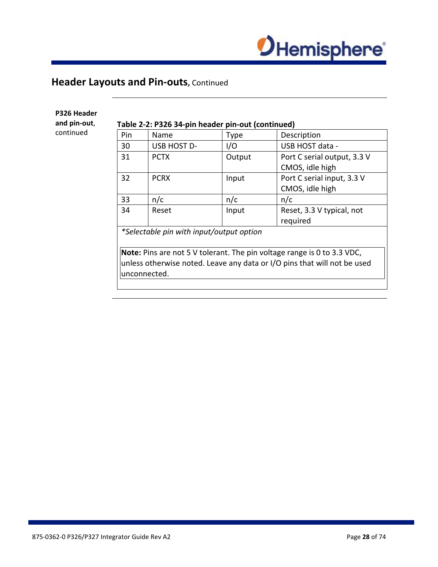

### **P326 Header**

**and pin-out**,

continued

### **Table 2-2: P326 34-pin header pin-out (continued)**

| Pin                                                                      | Name                                                                    | Type   | Description                 |  |
|--------------------------------------------------------------------------|-------------------------------------------------------------------------|--------|-----------------------------|--|
| 30                                                                       | USB HOST D-                                                             | I/O    | USB HOST data -             |  |
| 31                                                                       | <b>PCTX</b>                                                             | Output | Port C serial output, 3.3 V |  |
|                                                                          |                                                                         |        | CMOS, idle high             |  |
| 32                                                                       | <b>PCRX</b>                                                             | Input  | Port C serial input, 3.3 V  |  |
|                                                                          |                                                                         |        | CMOS, idle high             |  |
| 33                                                                       | n/c                                                                     | n/c    | n/c                         |  |
| 34                                                                       | Reset                                                                   | Input  | Reset, 3.3 V typical, not   |  |
|                                                                          |                                                                         |        | required                    |  |
|                                                                          | *Selectable pin with input/output option                                |        |                             |  |
|                                                                          |                                                                         |        |                             |  |
|                                                                          | Note: Pins are not 5 V tolerant. The pin voltage range is 0 to 3.3 VDC, |        |                             |  |
| unless otherwise noted. Leave any data or I/O pins that will not be used |                                                                         |        |                             |  |
| unconnected.                                                             |                                                                         |        |                             |  |
|                                                                          |                                                                         |        |                             |  |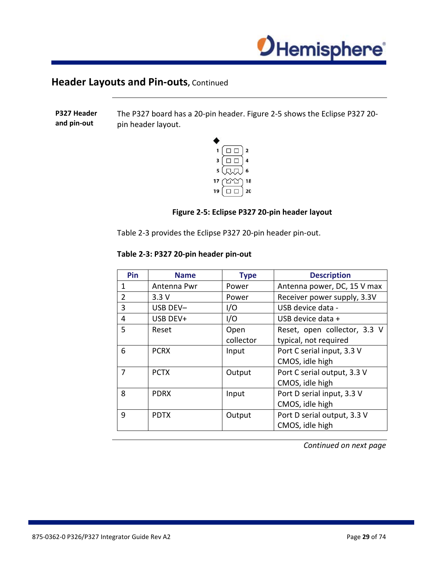

**P327 Header and pin-out** The P327 board has a 20-pin header. Figure 2-5 shows the Eclipse P327 20 pin header layout.



### **Figure 2-5: Eclipse P327 20-pin header layout**

Table 2-3 provides the Eclipse P327 20-pin header pin-out.

### **Table 2-3: P327 20-pin header pin-out**

| Pin            | <b>Name</b> | <b>Type</b> | <b>Description</b>           |
|----------------|-------------|-------------|------------------------------|
| $\mathbf{1}$   | Antenna Pwr | Power       | Antenna power, DC, 15 V max  |
| $\overline{2}$ | 3.3V        | Power       | Receiver power supply, 3.3V  |
| 3              | USB DEV-    | I/O         | USB device data -            |
| 4              | USB DEV+    | I/O         | USB device data +            |
| 5              | Reset       | Open        | Reset, open collector, 3.3 V |
|                |             | collector   | typical, not required        |
| 6              | <b>PCRX</b> | Input       | Port C serial input, 3.3 V   |
|                |             |             | CMOS, idle high              |
| 7              | <b>PCTX</b> | Output      | Port C serial output, 3.3 V  |
|                |             |             | CMOS, idle high              |
| 8              | <b>PDRX</b> | Input       | Port D serial input, 3.3 V   |
|                |             |             | CMOS, idle high              |
| 9              | <b>PDTX</b> | Output      | Port D serial output, 3.3 V  |
|                |             |             | CMOS, idle high              |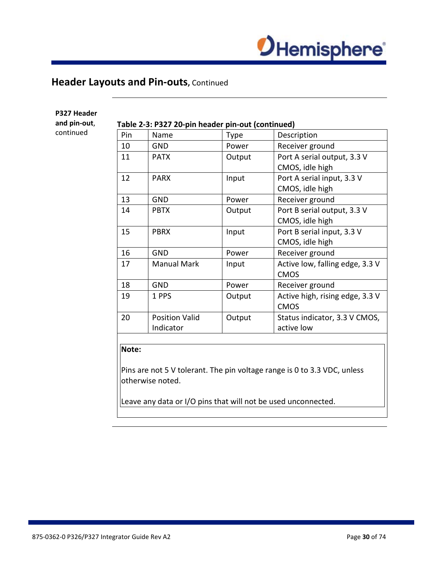

| Pin | Name                               | Type   | Description                                    |
|-----|------------------------------------|--------|------------------------------------------------|
| 10  | <b>GND</b>                         | Power  | Receiver ground                                |
| 11  | <b>PATX</b>                        | Output | Port A serial output, 3.3 V<br>CMOS, idle high |
| 12  | <b>PARX</b>                        | Input  | Port A serial input, 3.3 V<br>CMOS, idle high  |
| 13  | <b>GND</b>                         | Power  | Receiver ground                                |
| 14  | <b>PBTX</b>                        | Output | Port B serial output, 3.3 V<br>CMOS, idle high |
| 15  | <b>PBRX</b>                        | Input  | Port B serial input, 3.3 V<br>CMOS, idle high  |
| 16  | <b>GND</b>                         | Power  | Receiver ground                                |
| 17  | <b>Manual Mark</b>                 | Input  | Active low, falling edge, 3.3 V<br><b>CMOS</b> |
| 18  | <b>GND</b>                         | Power  | Receiver ground                                |
| 19  | 1 PPS                              | Output | Active high, rising edge, 3.3 V<br><b>CMOS</b> |
| 20  | <b>Position Valid</b><br>Indicator | Output | Status indicator, 3.3 V CMOS,<br>active low    |

### **P327 Header**

**and pin-out**,

### continued

**Note:**

Pins are not 5 V tolerant. The pin voltage range is 0 to 3.3 VDC, unless otherwise noted.

Leave any data or I/O pins that will not be used unconnected.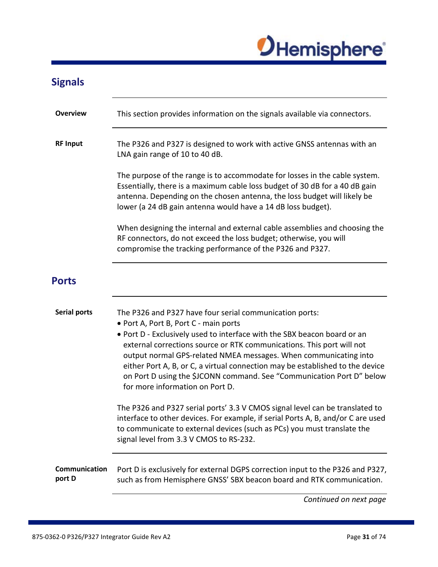

<span id="page-30-1"></span><span id="page-30-0"></span>

| <b>Signals</b>                 |                                                                                                                                                                                                                                                                                                                                                                                                                                                                                                                                                                                                        |
|--------------------------------|--------------------------------------------------------------------------------------------------------------------------------------------------------------------------------------------------------------------------------------------------------------------------------------------------------------------------------------------------------------------------------------------------------------------------------------------------------------------------------------------------------------------------------------------------------------------------------------------------------|
| Overview                       | This section provides information on the signals available via connectors.                                                                                                                                                                                                                                                                                                                                                                                                                                                                                                                             |
| <b>RF Input</b>                | The P326 and P327 is designed to work with active GNSS antennas with an<br>LNA gain range of 10 to 40 dB.                                                                                                                                                                                                                                                                                                                                                                                                                                                                                              |
|                                | The purpose of the range is to accommodate for losses in the cable system.<br>Essentially, there is a maximum cable loss budget of 30 dB for a 40 dB gain<br>antenna. Depending on the chosen antenna, the loss budget will likely be<br>lower (a 24 dB gain antenna would have a 14 dB loss budget).                                                                                                                                                                                                                                                                                                  |
|                                | When designing the internal and external cable assemblies and choosing the<br>RF connectors, do not exceed the loss budget; otherwise, you will<br>compromise the tracking performance of the P326 and P327.                                                                                                                                                                                                                                                                                                                                                                                           |
| <b>Ports</b>                   |                                                                                                                                                                                                                                                                                                                                                                                                                                                                                                                                                                                                        |
| <b>Serial ports</b>            | The P326 and P327 have four serial communication ports:<br>• Port A, Port B, Port C - main ports<br>. Port D - Exclusively used to interface with the SBX beacon board or an<br>external corrections source or RTK communications. This port will not<br>output normal GPS-related NMEA messages. When communicating into<br>either Port A, B, or C, a virtual connection may be established to the device<br>on Port D using the \$JCONN command. See "Communication Port D" below<br>for more information on Port D.<br>The P326 and P327 serial ports' 3.3 V CMOS signal level can be translated to |
|                                | interface to other devices. For example, if serial Ports A, B, and/or C are used<br>to communicate to external devices (such as PCs) you must translate the<br>signal level from 3.3 V CMOS to RS-232.                                                                                                                                                                                                                                                                                                                                                                                                 |
| <b>Communication</b><br>port D | Port D is exclusively for external DGPS correction input to the P326 and P327,<br>such as from Hemisphere GNSS' SBX beacon board and RTK communication.                                                                                                                                                                                                                                                                                                                                                                                                                                                |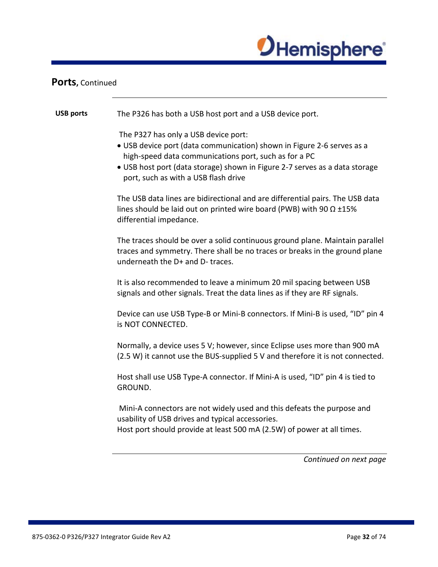

### Ports, Continued

| <b>USB ports</b> | The P326 has both a USB host port and a USB device port.                                                                                                                                                                                                                                       |
|------------------|------------------------------------------------------------------------------------------------------------------------------------------------------------------------------------------------------------------------------------------------------------------------------------------------|
|                  | The P327 has only a USB device port:<br>• USB device port (data communication) shown in Figure 2-6 serves as a<br>high-speed data communications port, such as for a PC<br>• USB host port (data storage) shown in Figure 2-7 serves as a data storage<br>port, such as with a USB flash drive |
|                  | The USB data lines are bidirectional and are differential pairs. The USB data<br>lines should be laid out on printed wire board (PWB) with 90 $\Omega$ ±15%<br>differential impedance.                                                                                                         |
|                  | The traces should be over a solid continuous ground plane. Maintain parallel<br>traces and symmetry. There shall be no traces or breaks in the ground plane<br>underneath the D+ and D- traces.                                                                                                |
|                  | It is also recommended to leave a minimum 20 mil spacing between USB<br>signals and other signals. Treat the data lines as if they are RF signals.                                                                                                                                             |
|                  | Device can use USB Type-B or Mini-B connectors. If Mini-B is used, "ID" pin 4<br>is NOT CONNECTED.                                                                                                                                                                                             |
|                  | Normally, a device uses 5 V; however, since Eclipse uses more than 900 mA<br>(2.5 W) it cannot use the BUS-supplied 5 V and therefore it is not connected.                                                                                                                                     |
|                  | Host shall use USB Type-A connector. If Mini-A is used, "ID" pin 4 is tied to<br>GROUND.                                                                                                                                                                                                       |
|                  | Mini-A connectors are not widely used and this defeats the purpose and<br>usability of USB drives and typical accessories.<br>Host port should provide at least 500 mA (2.5W) of power at all times.                                                                                           |
|                  | Continued on next page                                                                                                                                                                                                                                                                         |
|                  |                                                                                                                                                                                                                                                                                                |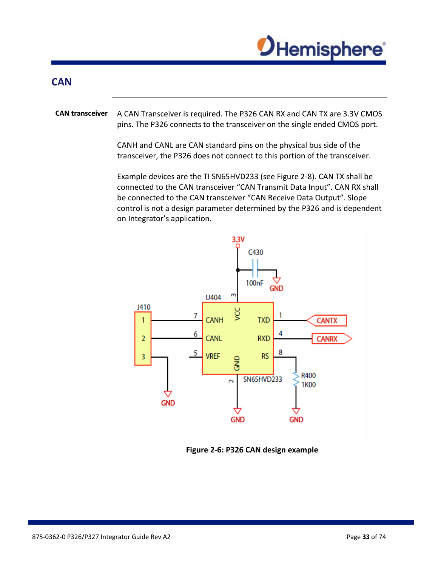

### <span id="page-32-0"></span>**CAN**

**CAN transceiver** A CAN Transceiver is required. The P326 CAN RX and CAN TX are 3.3V CMOS pins. The P326 connects to the transceiver on the single ended CMOS port.

> CANH and CANL are CAN standard pins on the physical bus side of the transceiver, the P326 does not connect to this portion of the transceiver.

Example devices are the TI SN65HVD233 (see Figure 2-8). CAN TX shall be connected to the CAN transceiver "CAN Transmit Data Input". CAN RX shall be connected to the CAN transceiver "CAN Receive Data Output". Slope control is not a design parameter determined by the P326 and is dependent on Integrator's application.



**Figure 2-6: P326 CAN design example**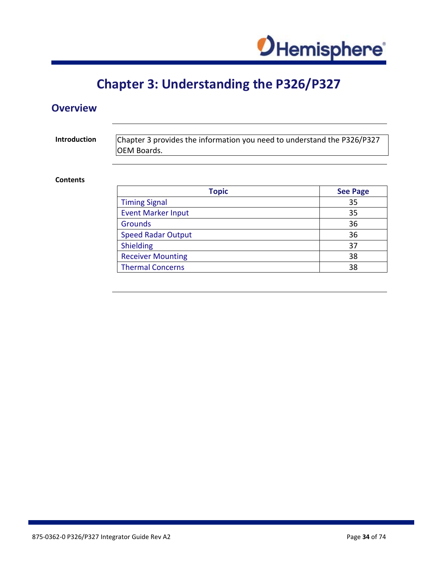

# **Chapter 3: Understanding the P326/P327**

# <span id="page-33-1"></span><span id="page-33-0"></span>**Overview**

**Introduction** Chapter 3 provides the information you need to understand the P326/P327 OEM Boards.

### **Contents**

| <b>Topic</b>              | <b>See Page</b> |
|---------------------------|-----------------|
| <b>Timing Signal</b>      | 35              |
| <b>Event Marker Input</b> | 35              |
| Grounds                   | 36              |
| <b>Speed Radar Output</b> | 36              |
| Shielding                 | 37              |
| <b>Receiver Mounting</b>  | 38              |
| <b>Thermal Concerns</b>   | 38              |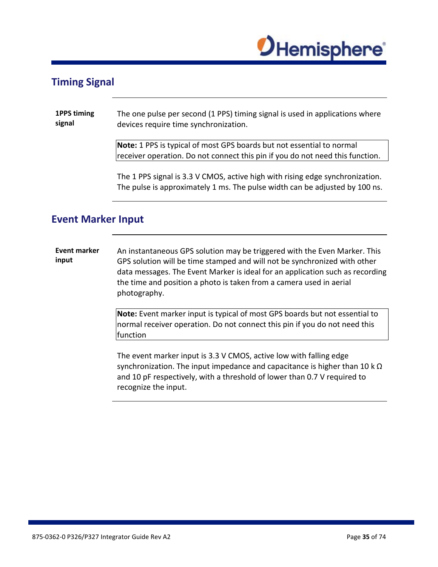

### <span id="page-34-0"></span>**Timing Signal**

| 1PPS timing | The one pulse per second (1 PPS) timing signal is used in applications where |
|-------------|------------------------------------------------------------------------------|
| signal      | devices require time synchronization.                                        |

**Note:** 1 PPS is typical of most GPS boards but not essential to normal receiver operation. Do not connect this pin if you do not need this function.

The 1 PPS signal is 3.3 V CMOS, active high with rising edge synchronization. The pulse is approximately 1 ms. The pulse width can be adjusted by 100 ns.

### <span id="page-34-1"></span>**Event Marker Input**

**Event marker input** An instantaneous GPS solution may be triggered with the Even Marker. This GPS solution will be time stamped and will not be synchronized with other data messages. The Event Marker is ideal for an application such as recording the time and position a photo is taken from a camera used in aerial photography.

> **Note:** Event marker input is typical of most GPS boards but not essential to normal receiver operation. Do not connect this pin if you do not need this function

> The event marker input is 3.3 V CMOS, active low with falling edge synchronization. The input impedance and capacitance is higher than 10 k  $Ω$ and 10 pF respectively, with a threshold of lower than 0.7 V required to recognize the input.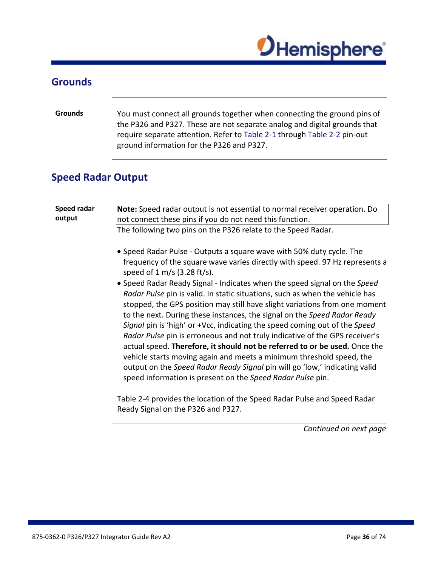

# <span id="page-35-0"></span>**Grounds**

<span id="page-35-1"></span>

| <b>Grounds</b>            | You must connect all grounds together when connecting the ground pins of<br>the P326 and P327. These are not separate analog and digital grounds that<br>require separate attention. Refer to Table 2-1 through Table 2-2 pin-out<br>ground information for the P326 and P327.                                                                                                                                                                                                                                                                                                                                                                                                                        |
|---------------------------|-------------------------------------------------------------------------------------------------------------------------------------------------------------------------------------------------------------------------------------------------------------------------------------------------------------------------------------------------------------------------------------------------------------------------------------------------------------------------------------------------------------------------------------------------------------------------------------------------------------------------------------------------------------------------------------------------------|
| <b>Speed Radar Output</b> |                                                                                                                                                                                                                                                                                                                                                                                                                                                                                                                                                                                                                                                                                                       |
| Speed radar<br>output     | Note: Speed radar output is not essential to normal receiver operation. Do<br>not connect these pins if you do not need this function.<br>The following two pins on the P326 relate to the Speed Radar.<br>• Speed Radar Pulse - Outputs a square wave with 50% duty cycle. The<br>frequency of the square wave varies directly with speed. 97 Hz represents a<br>speed of $1 \text{ m/s}$ (3.28 ft/s).<br>• Speed Radar Ready Signal - Indicates when the speed signal on the Speed                                                                                                                                                                                                                  |
|                           | Radar Pulse pin is valid. In static situations, such as when the vehicle has<br>stopped, the GPS position may still have slight variations from one moment<br>to the next. During these instances, the signal on the Speed Radar Ready<br>Signal pin is 'high' or +Vcc, indicating the speed coming out of the Speed<br>Radar Pulse pin is erroneous and not truly indicative of the GPS receiver's<br>actual speed. Therefore, it should not be referred to or be used. Once the<br>vehicle starts moving again and meets a minimum threshold speed, the<br>output on the Speed Radar Ready Signal pin will go 'low,' indicating valid<br>speed information is present on the Speed Radar Pulse pin. |
|                           | Table 2-4 provides the location of the Speed Radar Pulse and Speed Radar<br>Ready Signal on the P326 and P327.                                                                                                                                                                                                                                                                                                                                                                                                                                                                                                                                                                                        |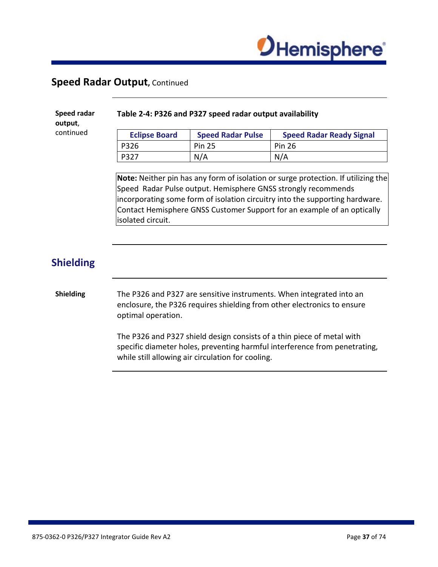

### **Speed Radar Output,** Continued

**Speed radar output**, continued

#### **Table 2-4: P326 and P327 speed radar output availability**

| <b>Eclipse Board</b> | <b>Speed Radar Pulse</b> | <b>Speed Radar Ready Signal</b> |
|----------------------|--------------------------|---------------------------------|
| P326                 | <b>Pin 25</b>            | <b>Pin 26</b>                   |
| I P327               | N/A                      | N/A                             |

**Note:** Neither pin has any form of isolation or surge protection. If utilizing the Speed Radar Pulse output. Hemisphere GNSS strongly recommends incorporating some form of isolation circuitry into the supporting hardware. Contact Hemisphere GNSS Customer Support for an example of an optically isolated circuit.

### **Shielding**

#### **Shielding** The P326 and P327 are sensitive instruments. When integrated into an enclosure, the P326 requires shielding from other electronics to ensure optimal operation.

The P326 and P327 shield design consists of a thin piece of metal with specific diameter holes, preventing harmful interference from penetrating, while still allowing air circulation for cooling.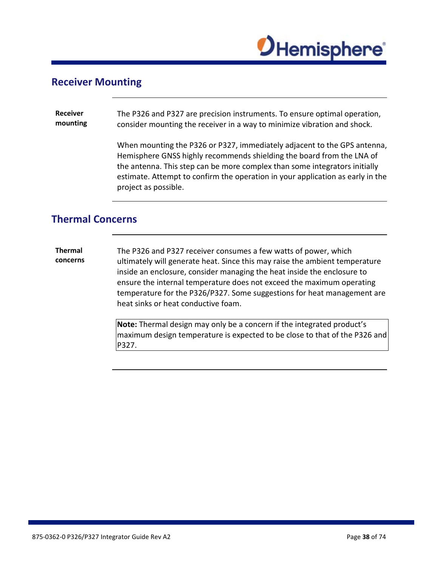

### **Receiver Mounting**

**Receiver mounting** The P326 and P327 are precision instruments. To ensure optimal operation, consider mounting the receiver in a way to minimize vibration and shock.

> When mounting the P326 or P327, immediately adjacent to the GPS antenna, Hemisphere GNSS highly recommends shielding the board from the LNA of the antenna. This step can be more complex than some integrators initially estimate. Attempt to confirm the operation in your application as early in the project as possible.

### **Thermal Concerns**

**Thermal concerns** The P326 and P327 receiver consumes a few watts of power, which ultimately will generate heat. Since this may raise the ambient temperature inside an enclosure, consider managing the heat inside the enclosure to ensure the internal temperature does not exceed the maximum operating temperature for the P326/P327. Some suggestions for heat management are heat sinks or heat conductive foam.

> **Note:** Thermal design may only be a concern if the integrated product's maximum design temperature is expected to be close to that of the P326 and P327.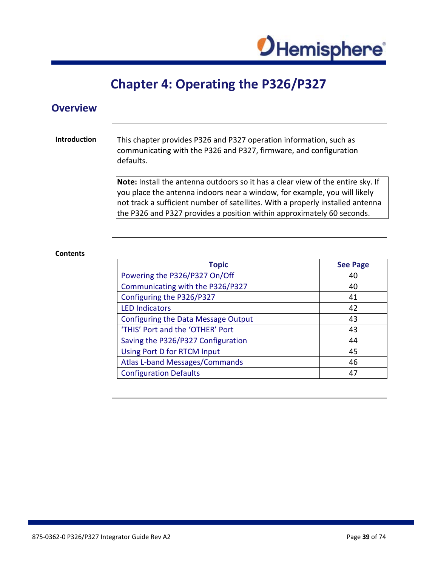

## **Chapter 4: Operating the P326/P327**

### **Overview**

#### **Introduction** This chapter provides P326 and P327 operation information, such as communicating with the P326 and P327, firmware, and configuration defaults.

**Note:** Install the antenna outdoors so it has a clear view of the entire sky. If you place the antenna indoors near a window, for example, you will likely not track a sufficient number of satellites. With a properly installed antenna the P326 and P327 provides a position within approximately 60 seconds.

#### **Contents**

| <b>Topic</b>                               | <b>See Page</b> |
|--------------------------------------------|-----------------|
| Powering the P326/P327 On/Off              | 40              |
| Communicating with the P326/P327           | 40              |
| Configuring the P326/P327                  | 41              |
| <b>LED Indicators</b>                      | 42              |
| <b>Configuring the Data Message Output</b> | 43              |
| 'THIS' Port and the 'OTHER' Port           | 43              |
| Saving the P326/P327 Configuration         | 44              |
| Using Port D for RTCM Input                | 45              |
| <b>Atlas L-band Messages/Commands</b>      | 46              |
| <b>Configuration Defaults</b>              | 47              |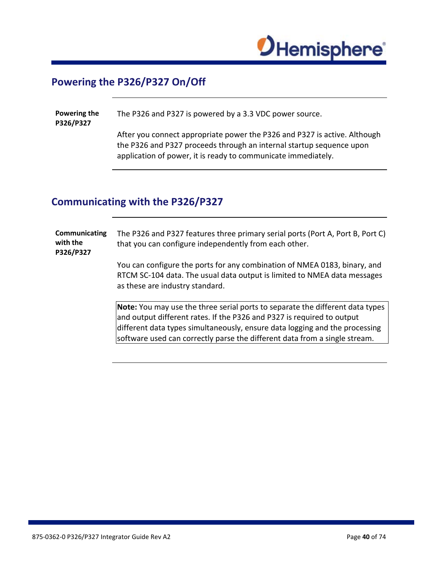

### <span id="page-39-0"></span>**Powering the P326/P327 On/Off**

**Powering the P326/P327**  The P326 and P327 is powered by a 3.3 VDC power source.

After you connect appropriate power the P326 and P327 is active. Although the P326 and P327 proceeds through an internal startup sequence upon application of power, it is ready to communicate immediately.

### <span id="page-39-1"></span>**Communicating with the P326/P327**

**Communicating with the P326/P327** The P326 and P327 features three primary serial ports (Port A, Port B, Port C) that you can configure independently from each other. You can configure the ports for any combination of NMEA 0183, binary, and RTCM SC-104 data. The usual data output is limited to NMEA data messages as these are industry standard. **Note:** You may use the three serial ports to separate the different data types and output different rates. If the P326 and P327 is required to output different data types simultaneously, ensure data logging and the processing software used can correctly parse the different data from a single stream.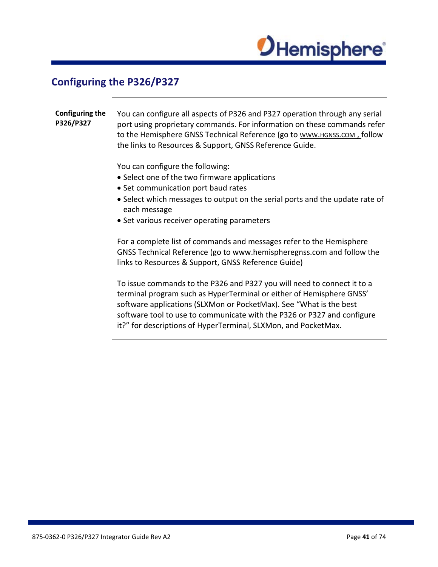

### <span id="page-40-0"></span>**Configuring the P326/P327**

**Configuring the P326/P327** You can configure all aspects of P326 and P327 operation through any serial port using proprietary commands. For information on these commands refer to the Hemisphere GNSS Technical Reference (go to WWW.HGNSS.COM, follow the links to Resources & Support, GNSS Reference Guide. You can configure the following: • Select one of the two firmware applications • Set communication port baud rates • Select which messages to output on the serial ports and the update rate of

- each message
- Set various receiver operating parameters

For a complete list of commands and messages refer to the Hemisphere GNSS Technical Reference (go to www.hemispheregnss.com and follow the links to Resources & Support, GNSS Reference Guide)

To issue commands to the P326 and P327 you will need to connect it to a terminal program such as HyperTerminal or either of Hemisphere GNSS' software applications (SLXMon or PocketMax). See "What is the best software tool to use to communicate with the P326 or P327 and configure it?" for descriptions of HyperTerminal, SLXMon, and PocketMax.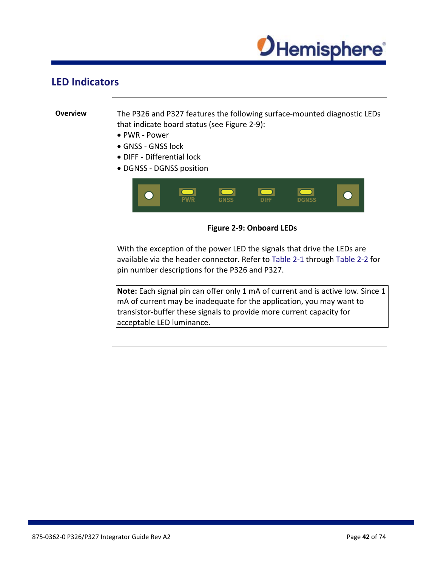

### <span id="page-41-0"></span>**LED Indicators**

**Overview** The P326 and P327 features the following surface-mounted diagnostic LEDs that indicate board status (see Figure 2-9):

- PWR Power
- GNSS GNSS lock
- DIFF Differential lock
- DGNSS DGNSS position





With the exception of the power LED the signals that drive the LEDs are available via the header connector. Refer to [Table 2-1 t](#page-21-0)hrough Table 2-2 for pin number descriptions for the P326 and P327.

**Note:** Each signal pin can offer only 1 mA of current and is active low. Since 1 mA of current may be inadequate for the application, you may want to transistor-buffer these signals to provide more current capacity for acceptable LED luminance.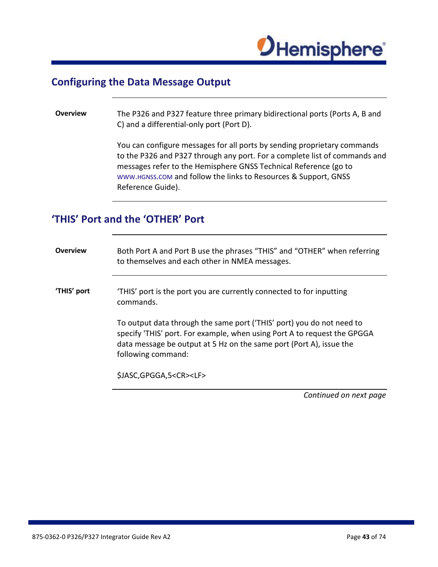

### <span id="page-42-0"></span>**Configuring the Data Message Output**

#### **Overview** The P326 and P327 feature three primary bidirectional ports (Ports A, B and C) and a differential-only port (Port D).

You can configure messages for all ports by sending proprietary commands to the P326 and P327 through any port. For a complete list of commands and messages refer to the Hemisphere GNSS Technical Reference (go to WWW.HGNSS.COM and follow the links to Resources & Support, GNSS Reference Guide).

## <span id="page-42-1"></span>**'THIS' Port and the 'OTHER' Port**

| <b>Overview</b> | Both Port A and Port B use the phrases "THIS" and "OTHER" when referring<br>to themselves and each other in NMEA messages.                                                                                                                     |  |
|-----------------|------------------------------------------------------------------------------------------------------------------------------------------------------------------------------------------------------------------------------------------------|--|
| 'THIS' port     | 'THIS' port is the port you are currently connected to for inputting<br>commands.                                                                                                                                                              |  |
|                 | To output data through the same port ('THIS' port) you do not need to<br>specify 'THIS' port. For example, when using Port A to request the GPGGA<br>data message be output at 5 Hz on the same port (Port A), issue the<br>following command: |  |
|                 | \$JASC, GPGGA, 5 <cr><lf></lf></cr>                                                                                                                                                                                                            |  |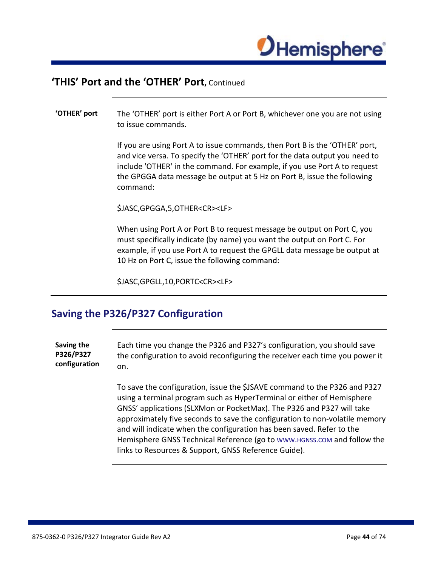

### **'THIS' Port and the 'OTHER' Port,** Continued

#### **'OTHER' port** The 'OTHER' port is either Port A or Port B, whichever one you are not using to issue commands.

If you are using Port A to issue commands, then Port B is the 'OTHER' port, and vice versa. To specify the 'OTHER' port for the data output you need to include 'OTHER' in the command. For example, if you use Port A to request the GPGGA data message be output at 5 Hz on Port B, issue the following command:

\$JASC,GPGGA,5,OTHER<CR><LF>

When using Port A or Port B to request message be output on Port C, you must specifically indicate (by name) you want the output on Port C. For example, if you use Port A to request the GPGLL data message be output at 10 Hz on Port C, issue the following command:

\$JASC,GPGLL,10,PORTC<CR><LF>

### <span id="page-43-0"></span>**Saving the P326/P327 Configuration**

**Saving the P326/P327 configuration** Each time you change the P326 and P327's configuration, you should save the configuration to avoid reconfiguring the receiver each time you power it on.

> To save the configuration, issue the \$JSAVE command to the P326 and P327 using a terminal program such as HyperTerminal or either of Hemisphere GNSS' applications (SLXMon or PocketMax). The P326 and P327 will take approximately five seconds to save the configuration to non-volatile memory and will indicate when the configuration has been saved. Refer to the Hemisphere GNSS Technical Reference (go to [WWW.HGNSS.COM](http://www.hgnss.com/) and follow the links to Resources & Support, GNSS Reference Guide).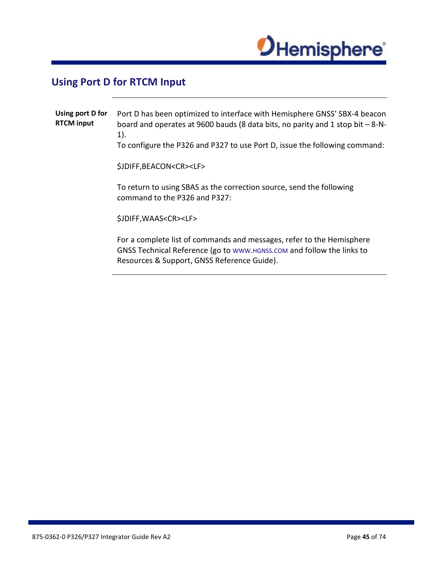

## <span id="page-44-0"></span>**Using Port D for RTCM Input**

| Using port D for<br><b>RTCM input</b> | Port D has been optimized to interface with Hemisphere GNSS' SBX-4 beacon<br>board and operates at 9600 bauds (8 data bits, no parity and 1 stop bit $-8-N-$<br>1).<br>To configure the P326 and P327 to use Port D, issue the following command: |
|---------------------------------------|---------------------------------------------------------------------------------------------------------------------------------------------------------------------------------------------------------------------------------------------------|
|                                       | \$JDIFF, BEACON <cr><lf></lf></cr>                                                                                                                                                                                                                |
|                                       | To return to using SBAS as the correction source, send the following<br>command to the P326 and P327:                                                                                                                                             |
|                                       | \$JDIFF, WAAS <cr><lf></lf></cr>                                                                                                                                                                                                                  |
|                                       | For a complete list of commands and messages, refer to the Hemisphere<br>GNSS Technical Reference (go to www.HGNSS.COM and follow the links to<br>Resources & Support, GNSS Reference Guide).                                                     |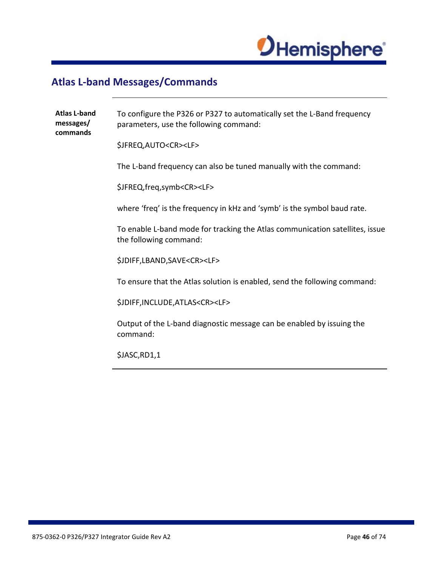

## <span id="page-45-0"></span>**Atlas L-band Messages/Commands**

| <b>Atlas L-band</b><br>messages/<br>commands | To configure the P326 or P327 to automatically set the L-Band frequency<br>parameters, use the following command: |
|----------------------------------------------|-------------------------------------------------------------------------------------------------------------------|
|                                              | \$JFREQ, AUTO <cr><lf></lf></cr>                                                                                  |
|                                              | The L-band frequency can also be tuned manually with the command:                                                 |
|                                              | \$JFREQ,freq,symb <cr><lf></lf></cr>                                                                              |
|                                              | where 'freq' is the frequency in kHz and 'symb' is the symbol baud rate.                                          |
|                                              | To enable L-band mode for tracking the Atlas communication satellites, issue<br>the following command:            |
|                                              | \$JDIFF,LBAND,SAVE <cr><lf></lf></cr>                                                                             |
|                                              | To ensure that the Atlas solution is enabled, send the following command:                                         |
|                                              | \$JDIFF,INCLUDE,ATLAS <cr><lf></lf></cr>                                                                          |
|                                              | Output of the L-band diagnostic message can be enabled by issuing the<br>command:                                 |
|                                              | \$JASC,RD1,1                                                                                                      |
|                                              |                                                                                                                   |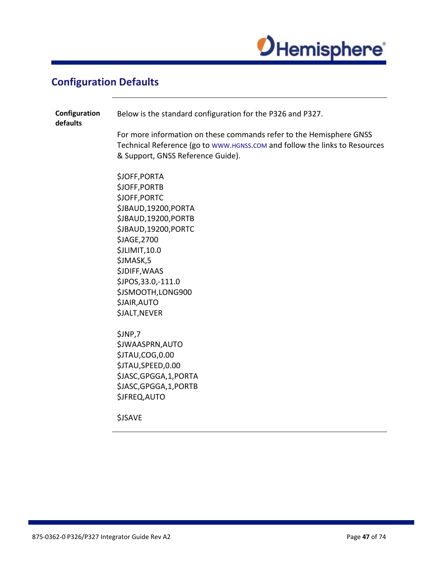

## <span id="page-46-0"></span>**Configuration Defaults**

| Configuration<br>defaults | Below is the standard configuration for the P326 and P327.                                                                                                                             |  |  |
|---------------------------|----------------------------------------------------------------------------------------------------------------------------------------------------------------------------------------|--|--|
|                           | For more information on these commands refer to the Hemisphere GNSS<br>Technical Reference (go to www.HGNSS.COM and follow the links to Resources<br>& Support, GNSS Reference Guide). |  |  |
|                           | \$JOFF, PORTA                                                                                                                                                                          |  |  |
|                           | \$JOFF, PORTB                                                                                                                                                                          |  |  |
|                           | \$JOFF, PORTC                                                                                                                                                                          |  |  |
|                           | \$JBAUD,19200,PORTA                                                                                                                                                                    |  |  |
|                           | \$JBAUD,19200,PORTB                                                                                                                                                                    |  |  |
|                           | \$JBAUD,19200,PORTC                                                                                                                                                                    |  |  |
|                           | \$JAGE, 2700                                                                                                                                                                           |  |  |
|                           | \$JLIMIT,10.0                                                                                                                                                                          |  |  |
|                           | \$JMASK,5<br><b>\$JDIFF, WAAS</b>                                                                                                                                                      |  |  |
|                           | \$JPOS, 33.0, -111.0                                                                                                                                                                   |  |  |
|                           | \$JSMOOTH,LONG900                                                                                                                                                                      |  |  |
|                           | \$JAIR, AUTO                                                                                                                                                                           |  |  |
|                           | <b>\$JALT, NEVER</b>                                                                                                                                                                   |  |  |
|                           | \$JNP,7                                                                                                                                                                                |  |  |
|                           | \$JWAASPRN, AUTO                                                                                                                                                                       |  |  |
|                           | \$JTAU,COG,0.00                                                                                                                                                                        |  |  |
|                           | \$JTAU,SPEED,0.00                                                                                                                                                                      |  |  |
|                           | \$JASC, GPGGA, 1, PORTA                                                                                                                                                                |  |  |
|                           | \$JASC, GPGGA, 1, PORTB                                                                                                                                                                |  |  |
|                           | \$JFREQ, AUTO                                                                                                                                                                          |  |  |
|                           | <b>\$JSAVE</b>                                                                                                                                                                         |  |  |
|                           |                                                                                                                                                                                        |  |  |
|                           |                                                                                                                                                                                        |  |  |
|                           |                                                                                                                                                                                        |  |  |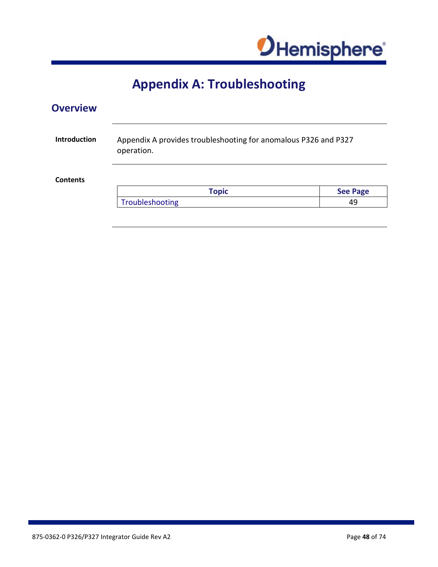

# **Appendix A: Troubleshooting**

### **Overview**

| <b>Introduction</b><br>Appendix A provides troubleshooting for anomalous P326 and P327<br>operation. |                 |                 |
|------------------------------------------------------------------------------------------------------|-----------------|-----------------|
| <b>Contents</b>                                                                                      |                 |                 |
|                                                                                                      | <b>Topic</b>    | <b>See Page</b> |
|                                                                                                      | Troubleshooting | 49              |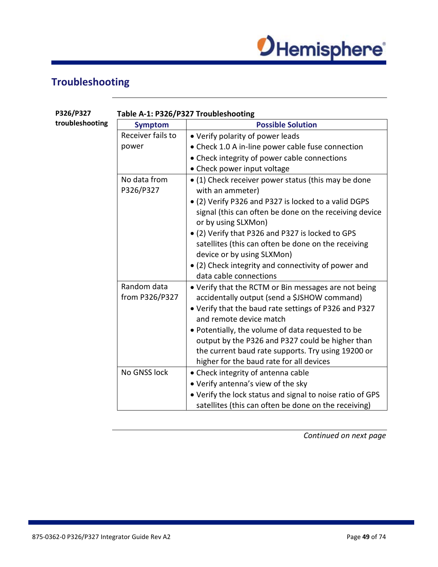

## <span id="page-48-0"></span>**Troubleshooting**

**P326/P327** 

| P326/P327       | Table A-1: P326/P327 Troubleshooting |                                                                                  |  |
|-----------------|--------------------------------------|----------------------------------------------------------------------------------|--|
| troubleshooting | <b>Symptom</b>                       | <b>Possible Solution</b>                                                         |  |
|                 | Receiver fails to                    | • Verify polarity of power leads                                                 |  |
|                 | power                                | • Check 1.0 A in-line power cable fuse connection                                |  |
|                 |                                      | • Check integrity of power cable connections                                     |  |
|                 |                                      | • Check power input voltage                                                      |  |
|                 | No data from<br>P326/P327            | • (1) Check receiver power status (this may be done<br>with an ammeter)          |  |
|                 |                                      | • (2) Verify P326 and P327 is locked to a valid DGPS                             |  |
|                 |                                      | signal (this can often be done on the receiving device<br>or by using SLXMon)    |  |
|                 |                                      | • (2) Verify that P326 and P327 is locked to GPS                                 |  |
|                 |                                      | satellites (this can often be done on the receiving                              |  |
|                 |                                      | device or by using SLXMon)                                                       |  |
|                 |                                      | • (2) Check integrity and connectivity of power and                              |  |
|                 |                                      | data cable connections                                                           |  |
|                 | Random data                          | • Verify that the RCTM or Bin messages are not being                             |  |
|                 | from P326/P327                       | accidentally output (send a \$JSHOW command)                                     |  |
|                 |                                      | • Verify that the baud rate settings of P326 and P327<br>and remote device match |  |
|                 |                                      | • Potentially, the volume of data requested to be                                |  |
|                 |                                      | output by the P326 and P327 could be higher than                                 |  |
|                 |                                      | the current baud rate supports. Try using 19200 or                               |  |
|                 |                                      | higher for the baud rate for all devices                                         |  |
|                 | No GNSS lock                         | • Check integrity of antenna cable                                               |  |
|                 |                                      | • Verify antenna's view of the sky                                               |  |
|                 |                                      | • Verify the lock status and signal to noise ratio of GPS                        |  |
|                 |                                      | satellites (this can often be done on the receiving)                             |  |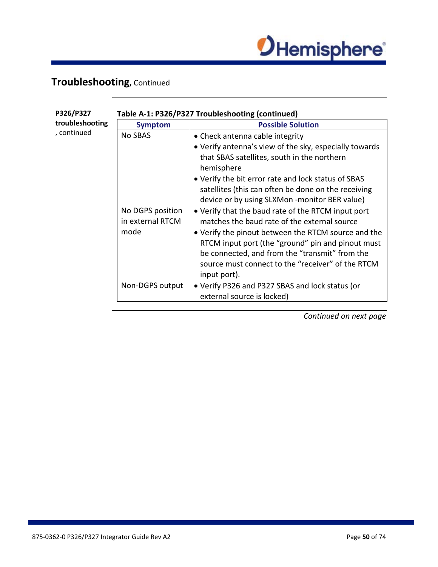

## **Troubleshooting,** Continued

| P326/P327                      | Table A-1: P326/P327 Troubleshooting (continued) |                                                                                                                                                                                                                                                                                                                                       |  |
|--------------------------------|--------------------------------------------------|---------------------------------------------------------------------------------------------------------------------------------------------------------------------------------------------------------------------------------------------------------------------------------------------------------------------------------------|--|
| troubleshooting<br>, continued | <b>Symptom</b>                                   | <b>Possible Solution</b>                                                                                                                                                                                                                                                                                                              |  |
|                                | <b>No SBAS</b>                                   | • Check antenna cable integrity                                                                                                                                                                                                                                                                                                       |  |
|                                |                                                  | • Verify antenna's view of the sky, especially towards                                                                                                                                                                                                                                                                                |  |
|                                |                                                  | that SBAS satellites, south in the northern<br>hemisphere                                                                                                                                                                                                                                                                             |  |
|                                |                                                  | • Verify the bit error rate and lock status of SBAS                                                                                                                                                                                                                                                                                   |  |
|                                |                                                  | satellites (this can often be done on the receiving                                                                                                                                                                                                                                                                                   |  |
|                                |                                                  | device or by using SLXMon -monitor BER value)                                                                                                                                                                                                                                                                                         |  |
|                                | No DGPS position<br>in external RTCM<br>mode     | • Verify that the baud rate of the RTCM input port<br>matches the baud rate of the external source<br>• Verify the pinout between the RTCM source and the<br>RTCM input port (the "ground" pin and pinout must<br>be connected, and from the "transmit" from the<br>source must connect to the "receiver" of the RTCM<br>input port). |  |
|                                | Non-DGPS output                                  | • Verify P326 and P327 SBAS and lock status (or<br>external source is locked)                                                                                                                                                                                                                                                         |  |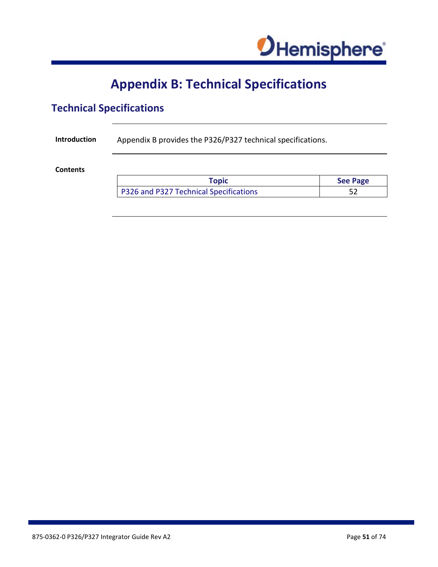

## **Appendix B: Technical Specifications**

## **Technical Specifications**

**Introduction** Appendix B provides the P326/P327 technical specifications.

**Contents**

| Topic                                  | <b>See Page</b> |
|----------------------------------------|-----------------|
| P326 and P327 Technical Specifications |                 |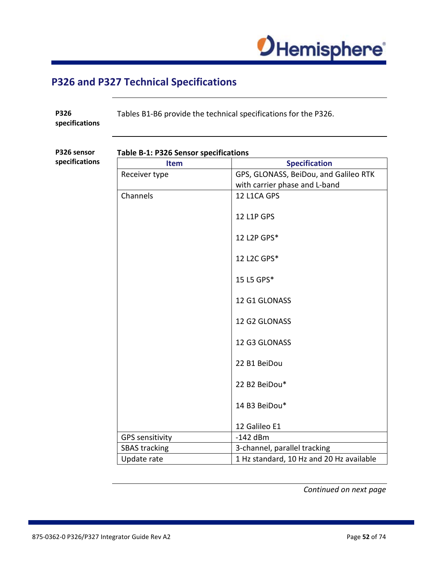

### <span id="page-51-0"></span>**P326 and P327 Technical Specifications**

**P326 specifications** Tables B1-B6 provide the technical specifications for the P326.

**P326 sensor specifications**

#### **Table B-1: P326 Sensor specifications**

**Item Specification** Receiver type GPS, GLONASS, BeiDou, and Galileo RTK with carrier phase and L-band Channels 12 L1CA GPS 12 L1P GPS 12 L2P GPS\* 12 L2C GPS\* 15 L5 GPS\* 12 G1 GLONASS 12 G2 GLONASS 12 G3 GLONASS 22 B1 BeiDou 22 B2 BeiDou\* 14 B3 BeiDou\* 12 Galileo E1 GPS sensitivity  $\vert$  -142 dBm SBAS tracking and all 3-channel, parallel tracking Update rate  $1$  Hz standard, 10 Hz and 20 Hz available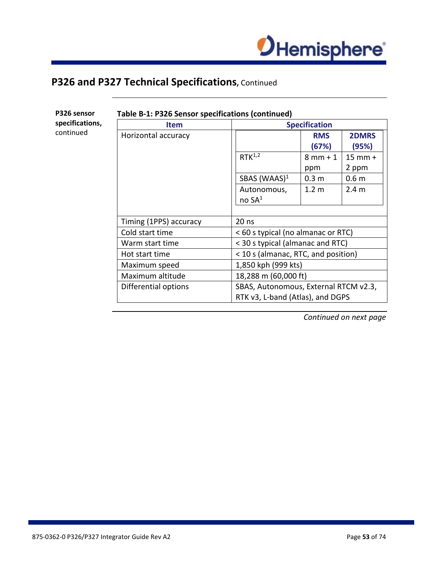

**Table B-1: P326 Sensor specifications (continued)**

**P326 sensor specifications,**  continued

| <b>Item</b>            |                                       | <b>Specification</b> |                       |
|------------------------|---------------------------------------|----------------------|-----------------------|
| Horizontal accuracy    |                                       | <b>RMS</b><br>(67%)  | <b>2DMRS</b><br>(95%) |
|                        | $RTK^{1,2}$                           | $8mm + 1$            | $15$ mm $+$           |
|                        |                                       | ppm                  | 2 ppm                 |
|                        | SBAS (WAAS) $1$                       | 0.3 <sub>m</sub>     | 0.6 <sub>m</sub>      |
|                        | Autonomous,<br>no SA <sup>1</sup>     | 1.2 <sub>m</sub>     | 2.4 <sub>m</sub>      |
|                        |                                       |                      |                       |
| Timing (1PPS) accuracy | $20$ ns                               |                      |                       |
| Cold start time        | < 60 s typical (no almanac or RTC)    |                      |                       |
| Warm start time        | < 30 s typical (almanac and RTC)      |                      |                       |
| Hot start time         | < 10 s (almanac, RTC, and position)   |                      |                       |
| Maximum speed          | 1,850 kph (999 kts)                   |                      |                       |
| Maximum altitude       |                                       | 18,288 m (60,000 ft) |                       |
| Differential options   | SBAS, Autonomous, External RTCM v2.3, |                      |                       |
|                        | RTK v3, L-band (Atlas), and DGPS      |                      |                       |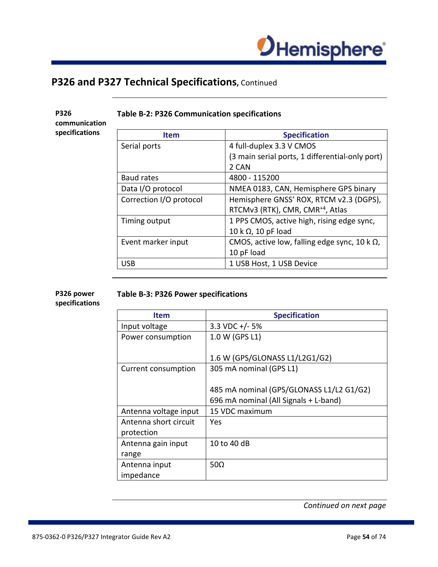

**P326 communication specifications**

#### **Table B-2: P326 Communication specifications**

| <b>Item</b>             | <b>Specification</b>                                 |
|-------------------------|------------------------------------------------------|
| Serial ports            | 4 full-duplex 3.3 V CMOS                             |
|                         | (3 main serial ports, 1 differential-only port)      |
|                         | 2 CAN                                                |
| Baud rates              | 4800 - 115200                                        |
| Data I/O protocol       | NMEA 0183, CAN, Hemisphere GPS binary                |
| Correction I/O protocol | Hemisphere GNSS' ROX, RTCM v2.3 (DGPS),              |
|                         | RTCMv3 (RTK), CMR, CMR <sup>+4</sup> , Atlas         |
| Timing output           | 1 PPS CMOS, active high, rising edge sync,           |
|                         | 10 k $\Omega$ , 10 pF load                           |
| Event marker input      | CMOS, active low, falling edge sync, 10 k $\Omega$ , |
|                         | 10 pF load                                           |
| USB                     | 1 USB Host, 1 USB Device                             |

#### **P326 power Table B-3: P326 Power specifications**

**specifications**

| <b>Item</b>           | <b>Specification</b>                     |
|-----------------------|------------------------------------------|
| Input voltage         | 3.3 VDC $+/-5\%$                         |
| Power consumption     | 1.0 W (GPS L1)                           |
|                       |                                          |
|                       | 1.6 W (GPS/GLONASS L1/L2G1/G2)           |
| Current consumption   | 305 mA nominal (GPS L1)                  |
|                       |                                          |
|                       | 485 mA nominal (GPS/GLONASS L1/L2 G1/G2) |
|                       | 696 mA nominal (All Signals + L-band)    |
| Antenna voltage input | 15 VDC maximum                           |
| Antenna short circuit | Yes                                      |
| protection            |                                          |
| Antenna gain input    | 10 to 40 dB                              |
| range                 |                                          |
| Antenna input         | 50 $\Omega$                              |
| impedance             |                                          |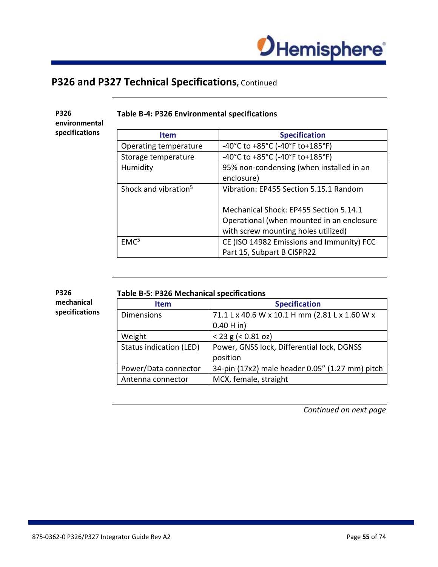

**P326 environmental specifications**

#### **Table B-4: P326 Environmental specifications**

| <b>Item</b>                      | <b>Specification</b>                      |
|----------------------------------|-------------------------------------------|
| Operating temperature            | -40°C to +85°C (-40°F to+185°F)           |
| Storage temperature              | -40°C to +85°C (-40°F to+185°F)           |
| Humidity                         | 95% non-condensing (when installed in an  |
|                                  | enclosure)                                |
| Shock and vibration <sup>5</sup> | Vibration: EP455 Section 5.15.1 Random    |
|                                  |                                           |
|                                  | Mechanical Shock: EP455 Section 5.14.1    |
|                                  | Operational (when mounted in an enclosure |
|                                  | with screw mounting holes utilized)       |
| EMC <sup>5</sup>                 | CE (ISO 14982 Emissions and Immunity) FCC |
|                                  | Part 15, Subpart B CISPR22                |

| <b>P326</b>    | <b>Table B-5: P326 Mechanical specifications</b> |                                                 |
|----------------|--------------------------------------------------|-------------------------------------------------|
| mechanical     | <b>Item</b>                                      | <b>Specification</b>                            |
| specifications | <b>Dimensions</b>                                | 71.1 L x 40.6 W x 10.1 H mm (2.81 L x 1.60 W x  |
|                |                                                  | $0.40$ H in)                                    |
|                | Weight                                           | $<$ 23 g ( $<$ 0.81 oz)                         |
|                | Status indication (LED)                          | Power, GNSS lock, Differential lock, DGNSS      |
|                |                                                  | position                                        |
|                | Power/Data connector                             | 34-pin (17x2) male header 0.05" (1.27 mm) pitch |

Antenna connector  $\vert$  MCX, female, straight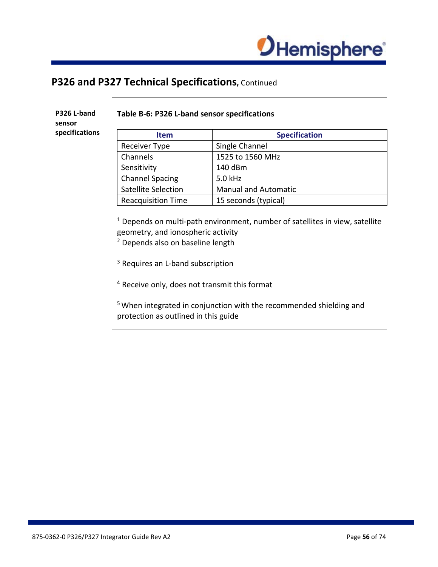

**P326 L-band sensor specifications**

#### **Table B-6: P326 L-band sensor specifications**

| <b>Item</b>               | <b>Specification</b>        |
|---------------------------|-----------------------------|
| Receiver Type             | Single Channel              |
| Channels                  | 1525 to 1560 MHz            |
| Sensitivity               | 140 dBm                     |
| <b>Channel Spacing</b>    | 5.0 kHz                     |
| Satellite Selection       | <b>Manual and Automatic</b> |
| <b>Reacquisition Time</b> | 15 seconds (typical)        |

<sup>1</sup> Depends on multi-path environment, number of satellites in view, satellite geometry, and ionospheric activity

<sup>2</sup> Depends also on baseline length

- <sup>3</sup> Requires an L-band subscription
- <sup>4</sup> Receive only, does not transmit this format

5 When integrated in conjunction with the recommended shielding and protection as outlined in this guide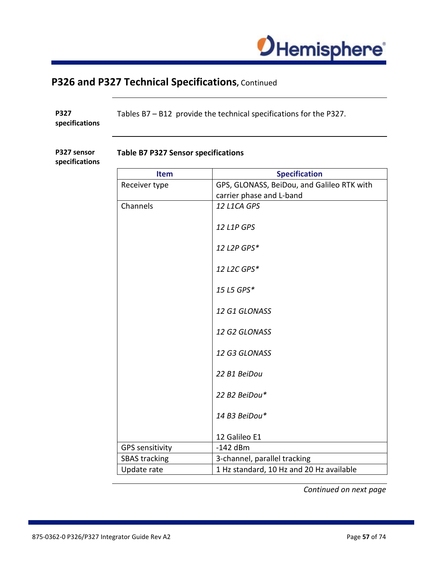

| P327<br>specifications        | Tables B7 - B12 provide the technical specifications for the P327. |                                            |  |
|-------------------------------|--------------------------------------------------------------------|--------------------------------------------|--|
| P327 sensor<br>specifications | <b>Table B7 P327 Sensor specifications</b>                         |                                            |  |
|                               | <b>Item</b>                                                        | <b>Specification</b>                       |  |
|                               | Receiver type                                                      | GPS, GLONASS, BeiDou, and Galileo RTK with |  |
|                               |                                                                    | carrier phase and L-band                   |  |
|                               | Channels                                                           | 12 L1CA GPS                                |  |
|                               |                                                                    | 12 L1P GPS                                 |  |
|                               |                                                                    | 12 L2P GPS*                                |  |
|                               |                                                                    | 12 L2C GPS*                                |  |
|                               |                                                                    | 15 L5 GPS*                                 |  |
|                               |                                                                    | 12 G1 GLONASS                              |  |
|                               |                                                                    | 12 G2 GLONASS                              |  |
|                               |                                                                    | 12 G3 GLONASS                              |  |
|                               |                                                                    | 22 B1 BeiDou                               |  |
|                               |                                                                    | 22 B2 BeiDou*                              |  |
|                               |                                                                    | 14 B3 BeiDou*                              |  |
|                               |                                                                    | 12 Galileo E1                              |  |
|                               | <b>GPS sensitivity</b>                                             | $-142$ dBm                                 |  |
|                               | <b>SBAS tracking</b>                                               | 3-channel, parallel tracking               |  |
|                               | Update rate                                                        | 1 Hz standard, 10 Hz and 20 Hz available   |  |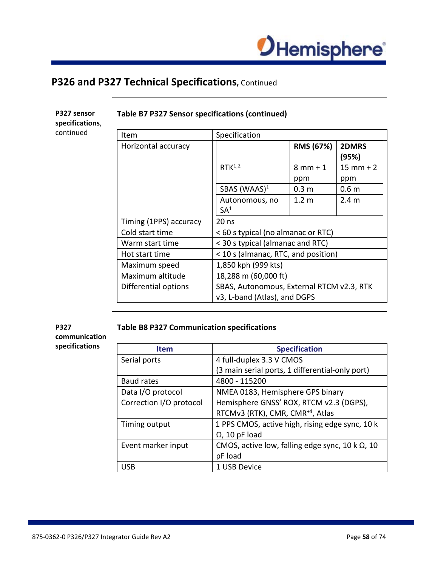

**P327 sensor specifications**, continued

#### **Table B7 P327 Sensor specifications (continued)**

| Item                   | Specification                             |                  |                  |
|------------------------|-------------------------------------------|------------------|------------------|
| Horizontal accuracy    |                                           | RMS (67%)        | 2DMRS<br>(95%)   |
|                        | $RTK^{1,2}$                               | $8mm + 1$        | $15$ mm + 2      |
|                        |                                           | ppm              | ppm              |
|                        | SBAS (WAAS) $1$                           | 0.3 <sub>m</sub> | 0.6 <sub>m</sub> |
|                        | Autonomous, no<br>SA <sup>1</sup>         | 1.2 m            | 2.4 <sub>m</sub> |
| Timing (1PPS) accuracy | $20$ ns                                   |                  |                  |
| Cold start time        | < 60 s typical (no almanac or RTC)        |                  |                  |
| Warm start time        | < 30 s typical (almanac and RTC)          |                  |                  |
| Hot start time         | < 10 s (almanac, RTC, and position)       |                  |                  |
| Maximum speed          | 1,850 kph (999 kts)                       |                  |                  |
| Maximum altitude       | 18,288 m (60,000 ft)                      |                  |                  |
| Differential options   | SBAS, Autonomous, External RTCM v2.3, RTK |                  |                  |
|                        | v3, L-band (Atlas), and DGPS              |                  |                  |

#### **P327**

**communication specifications**

#### **Table B8 P327 Communication specifications**

| <b>Item</b>             | <b>Specification</b>                                    |
|-------------------------|---------------------------------------------------------|
| Serial ports            | 4 full-duplex 3.3 V CMOS                                |
|                         | (3 main serial ports, 1 differential-only port)         |
| <b>Baud rates</b>       | 4800 - 115200                                           |
| Data I/O protocol       | NMEA 0183, Hemisphere GPS binary                        |
| Correction I/O protocol | Hemisphere GNSS' ROX, RTCM v2.3 (DGPS),                 |
|                         | RTCMv3 (RTK), CMR, CMR <sup>+4</sup> , Atlas            |
| Timing output           | 1 PPS CMOS, active high, rising edge sync, 10 k         |
|                         | $\Omega$ , 10 pF load                                   |
| Event marker input      | CMOS, active low, falling edge sync, 10 k $\Omega$ , 10 |
|                         | pF load                                                 |
| <b>USB</b>              | 1 USB Device                                            |
|                         |                                                         |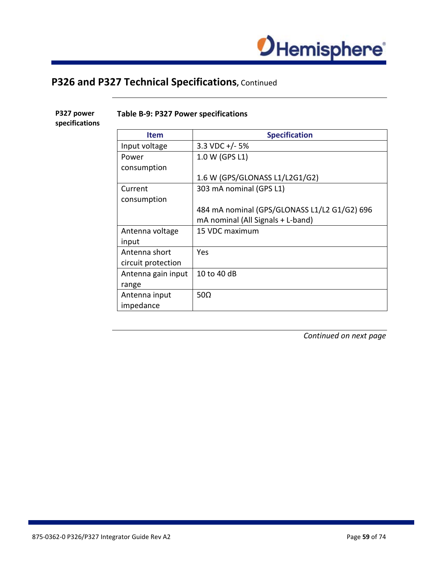

**P327 power specifications**

#### **Table B-9: P327 Power specifications**

**Item Item Specification** Input voltage  $\vert$  3.3 VDC +/- 5% Power consumption 1.0 W (GPS L1) 1.6 W (GPS/GLONASS L1/L2G1/G2) Current consumption 303 mA nominal (GPS L1) 484 mA nominal (GPS/GLONASS L1/L2 G1/G2) 696 mA nominal (All Signals + L-band) Antenna voltage input 15 VDC maximum Antenna short circuit protection Yes Antenna gain input range 10 to 40 dB Antenna input impedance 50Ω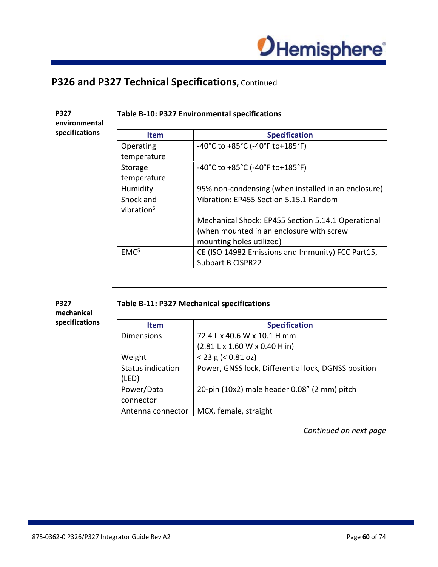

#### **Table B-10: P327 Environmental specifications**

**P327 environmental specifications**

| <b>Item</b>            | <b>Specification</b>                                                      |
|------------------------|---------------------------------------------------------------------------|
| Operating              | $-40^{\circ}$ C to $+85^{\circ}$ C (-40 $^{\circ}$ F to $+185^{\circ}$ F) |
| temperature            |                                                                           |
| Storage                | $-40^{\circ}$ C to $+85^{\circ}$ C (-40 $^{\circ}$ F to $+185^{\circ}$ F) |
| temperature            |                                                                           |
| Humidity               | 95% non-condensing (when installed in an enclosure)                       |
| Shock and              | Vibration: EP455 Section 5.15.1 Random                                    |
| vibration <sup>5</sup> |                                                                           |
|                        | Mechanical Shock: EP455 Section 5.14.1 Operational                        |
|                        | (when mounted in an enclosure with screw                                  |
|                        | mounting holes utilized)                                                  |
| EMC <sup>5</sup>       | CE (ISO 14982 Emissions and Immunity) FCC Part15,                         |
|                        | <b>Subpart B CISPR22</b>                                                  |

#### **P327 mechanical specifications**

#### **Table B-11: P327 Mechanical specifications**

| <b>Item</b>              | <b>Specification</b>                                |
|--------------------------|-----------------------------------------------------|
| <b>Dimensions</b>        | 72.4 L x 40.6 W x 10.1 H mm                         |
|                          | $(2.81 L \times 1.60 W \times 0.40 H)$              |
| Weight                   | $<$ 23 g ( $<$ 0.81 oz)                             |
| <b>Status indication</b> | Power, GNSS lock, Differential lock, DGNSS position |
| (LED)                    |                                                     |
| Power/Data               | 20-pin (10x2) male header 0.08" (2 mm) pitch        |
| connector                |                                                     |
| Antenna connector        | MCX, female, straight                               |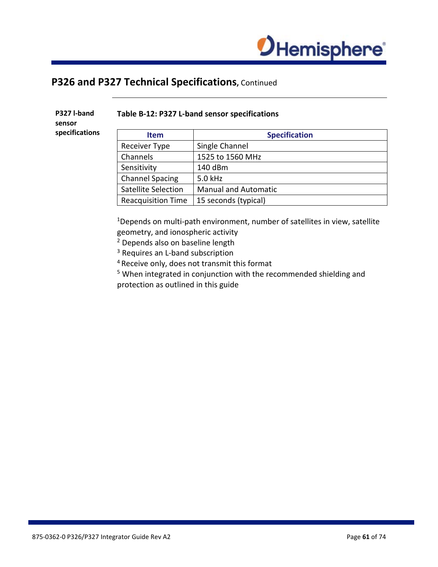

**P327 l-band sensor specifications**

#### **Table B-12: P327 L-band sensor specifications**

| <b>Item</b>                | <b>Specification</b>        |
|----------------------------|-----------------------------|
| <b>Receiver Type</b>       | Single Channel              |
| Channels                   | 1525 to 1560 MHz            |
| Sensitivity                | 140 dBm                     |
| <b>Channel Spacing</b>     | 5.0 kHz                     |
| <b>Satellite Selection</b> | <b>Manual and Automatic</b> |
| <b>Reacquisition Time</b>  | 15 seconds (typical)        |

<sup>1</sup>Depends on multi-path environment, number of satellites in view, satellite geometry, and ionospheric activity

<sup>2</sup> Depends also on baseline length

<sup>3</sup> Requires an L-band subscription

4 Receive only, does not transmit this format

<sup>5</sup> When integrated in conjunction with the recommended shielding and protection as outlined in this guide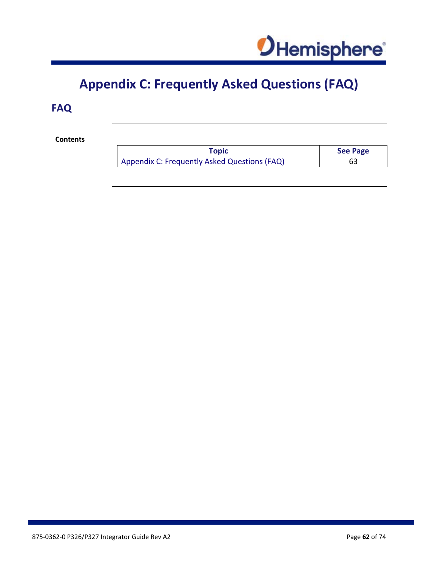

## **Appendix C: Frequently Asked Questions (FAQ)**

## **FAQ**

**Contents**

| Topic                                        | <b>See Page</b> |
|----------------------------------------------|-----------------|
| Appendix C: Frequently Asked Questions (FAQ) | 63              |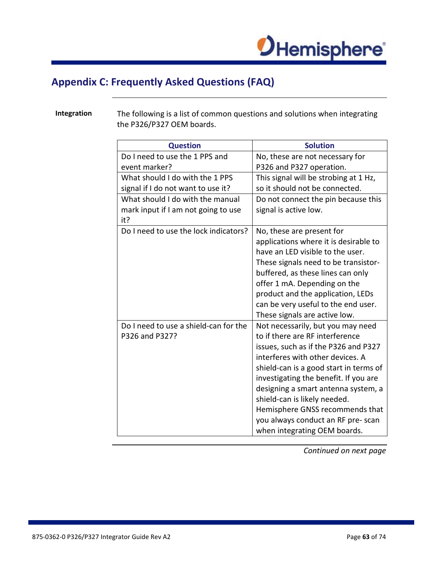

## <span id="page-62-0"></span>**Appendix C: Frequently Asked Questions (FAQ)**

**Integration** The following is a list of common questions and solutions when integrating the P326/P327 OEM boards.

| <b>Question</b>                                         | <b>Solution</b>                                                                                                                                                                                                                                                                                                                                                                                                    |
|---------------------------------------------------------|--------------------------------------------------------------------------------------------------------------------------------------------------------------------------------------------------------------------------------------------------------------------------------------------------------------------------------------------------------------------------------------------------------------------|
| Do I need to use the 1 PPS and                          | No, these are not necessary for                                                                                                                                                                                                                                                                                                                                                                                    |
| event marker?                                           | P326 and P327 operation.                                                                                                                                                                                                                                                                                                                                                                                           |
| What should I do with the 1 PPS                         | This signal will be strobing at 1 Hz,                                                                                                                                                                                                                                                                                                                                                                              |
| signal if I do not want to use it?                      | so it should not be connected.                                                                                                                                                                                                                                                                                                                                                                                     |
| What should I do with the manual                        | Do not connect the pin because this                                                                                                                                                                                                                                                                                                                                                                                |
| mark input if I am not going to use<br>it?              | signal is active low.                                                                                                                                                                                                                                                                                                                                                                                              |
| Do I need to use the lock indicators?                   | No, these are present for<br>applications where it is desirable to<br>have an LED visible to the user.<br>These signals need to be transistor-<br>buffered, as these lines can only<br>offer 1 mA. Depending on the<br>product and the application, LEDs<br>can be very useful to the end user.<br>These signals are active low.                                                                                   |
| Do I need to use a shield-can for the<br>P326 and P327? | Not necessarily, but you may need<br>to if there are RF interference<br>issues, such as if the P326 and P327<br>interferes with other devices. A<br>shield-can is a good start in terms of<br>investigating the benefit. If you are<br>designing a smart antenna system, a<br>shield-can is likely needed.<br>Hemisphere GNSS recommends that<br>you always conduct an RF pre-scan<br>when integrating OEM boards. |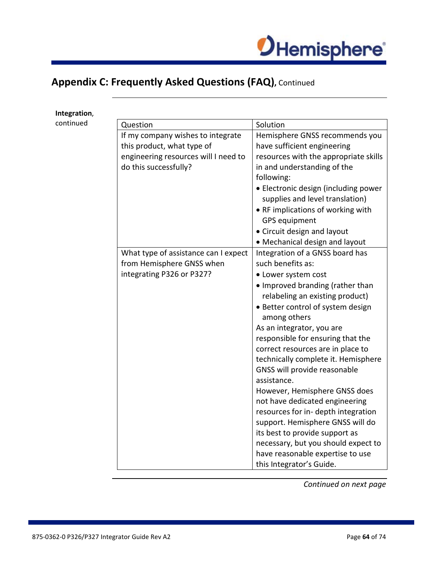

**Integration**,

| continued | Question                             | Solution                                                                |
|-----------|--------------------------------------|-------------------------------------------------------------------------|
|           | If my company wishes to integrate    | Hemisphere GNSS recommends you                                          |
|           | this product, what type of           | have sufficient engineering                                             |
|           | engineering resources will I need to | resources with the appropriate skills                                   |
|           | do this successfully?                | in and understanding of the                                             |
|           |                                      | following:                                                              |
|           |                                      | • Electronic design (including power<br>supplies and level translation) |
|           |                                      | • RF implications of working with                                       |
|           |                                      | <b>GPS</b> equipment                                                    |
|           |                                      | • Circuit design and layout                                             |
|           |                                      | • Mechanical design and layout                                          |
|           | What type of assistance can I expect | Integration of a GNSS board has                                         |
|           | from Hemisphere GNSS when            | such benefits as:                                                       |
|           | integrating P326 or P327?            | • Lower system cost                                                     |
|           |                                      | • Improved branding (rather than                                        |
|           |                                      | relabeling an existing product)                                         |
|           |                                      | • Better control of system design<br>among others                       |
|           |                                      | As an integrator, you are                                               |
|           |                                      | responsible for ensuring that the                                       |
|           |                                      | correct resources are in place to                                       |
|           |                                      | technically complete it. Hemisphere                                     |
|           |                                      | GNSS will provide reasonable                                            |
|           |                                      | assistance.                                                             |
|           |                                      | However, Hemisphere GNSS does                                           |
|           |                                      | not have dedicated engineering                                          |
|           |                                      | resources for in-depth integration                                      |
|           |                                      | support. Hemisphere GNSS will do                                        |
|           |                                      | its best to provide support as                                          |
|           |                                      | necessary, but you should expect to                                     |
|           |                                      | have reasonable expertise to use                                        |
|           |                                      | this Integrator's Guide.                                                |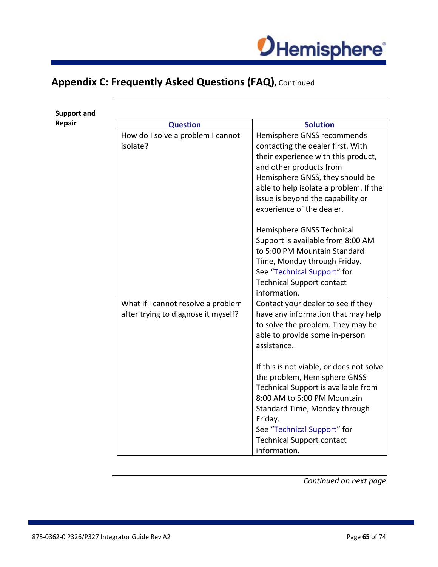

**Support and** 

| Repair | <b>Question</b>                     | <b>Solution</b>                          |
|--------|-------------------------------------|------------------------------------------|
|        | How do I solve a problem I cannot   | Hemisphere GNSS recommends               |
|        | isolate?                            | contacting the dealer first. With        |
|        |                                     | their experience with this product,      |
|        |                                     | and other products from                  |
|        |                                     | Hemisphere GNSS, they should be          |
|        |                                     | able to help isolate a problem. If the   |
|        |                                     | issue is beyond the capability or        |
|        |                                     | experience of the dealer.                |
|        |                                     | Hemisphere GNSS Technical                |
|        |                                     | Support is available from 8:00 AM        |
|        |                                     | to 5:00 PM Mountain Standard             |
|        |                                     | Time, Monday through Friday.             |
|        |                                     | See "Technical Support" for              |
|        |                                     | <b>Technical Support contact</b>         |
|        |                                     | information.                             |
|        | What if I cannot resolve a problem  | Contact your dealer to see if they       |
|        | after trying to diagnose it myself? | have any information that may help       |
|        |                                     | to solve the problem. They may be        |
|        |                                     | able to provide some in-person           |
|        |                                     | assistance.                              |
|        |                                     | If this is not viable, or does not solve |
|        |                                     | the problem, Hemisphere GNSS             |
|        |                                     | Technical Support is available from      |
|        |                                     | 8:00 AM to 5:00 PM Mountain              |
|        |                                     | Standard Time, Monday through            |
|        |                                     | Friday.                                  |
|        |                                     | See "Technical Support" for              |
|        |                                     | <b>Technical Support contact</b>         |
|        |                                     | information.                             |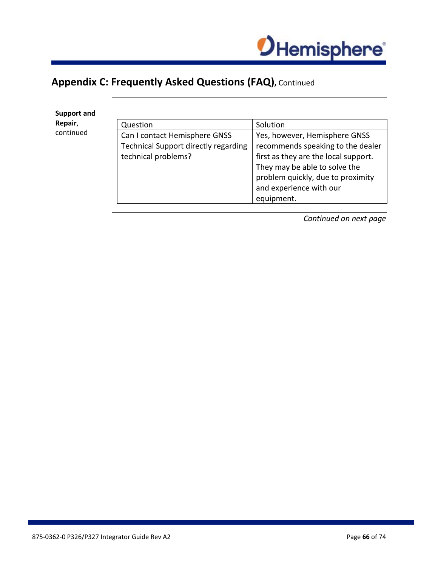

**Support and Repair**, continued

| Question                                                                                            | Solution                                                                                                                                                                                                                  |
|-----------------------------------------------------------------------------------------------------|---------------------------------------------------------------------------------------------------------------------------------------------------------------------------------------------------------------------------|
| Can I contact Hemisphere GNSS<br><b>Technical Support directly regarding</b><br>technical problems? | Yes, however, Hemisphere GNSS<br>recommends speaking to the dealer<br>first as they are the local support.<br>They may be able to solve the<br>problem quickly, due to proximity<br>and experience with our<br>equipment. |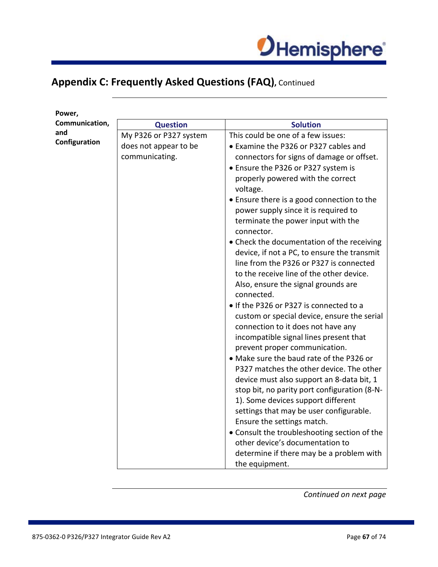

| Power,         |                        |                                                                                    |
|----------------|------------------------|------------------------------------------------------------------------------------|
| Communication, | <b>Question</b>        | <b>Solution</b>                                                                    |
| and            | My P326 or P327 system | This could be one of a few issues:                                                 |
| Configuration  | does not appear to be  | • Examine the P326 or P327 cables and                                              |
|                | communicating.         | connectors for signs of damage or offset.                                          |
|                |                        | • Ensure the P326 or P327 system is                                                |
|                |                        | properly powered with the correct<br>voltage.                                      |
|                |                        | • Ensure there is a good connection to the<br>power supply since it is required to |
|                |                        | terminate the power input with the<br>connector.                                   |
|                |                        | • Check the documentation of the receiving                                         |
|                |                        | device, if not a PC, to ensure the transmit                                        |
|                |                        | line from the P326 or P327 is connected                                            |
|                |                        | to the receive line of the other device.                                           |
|                |                        | Also, ensure the signal grounds are<br>connected.                                  |
|                |                        | • If the P326 or P327 is connected to a                                            |
|                |                        | custom or special device, ensure the serial                                        |
|                |                        | connection to it does not have any                                                 |
|                |                        | incompatible signal lines present that                                             |
|                |                        | prevent proper communication.                                                      |
|                |                        | • Make sure the baud rate of the P326 or                                           |
|                |                        | P327 matches the other device. The other                                           |
|                |                        | device must also support an 8-data bit, 1                                          |
|                |                        | stop bit, no parity port configuration (8-N-                                       |
|                |                        | 1). Some devices support different                                                 |
|                |                        | settings that may be user configurable.                                            |
|                |                        | Ensure the settings match.                                                         |
|                |                        | • Consult the troubleshooting section of the                                       |
|                |                        | other device's documentation to                                                    |
|                |                        | determine if there may be a problem with<br>the equipment.                         |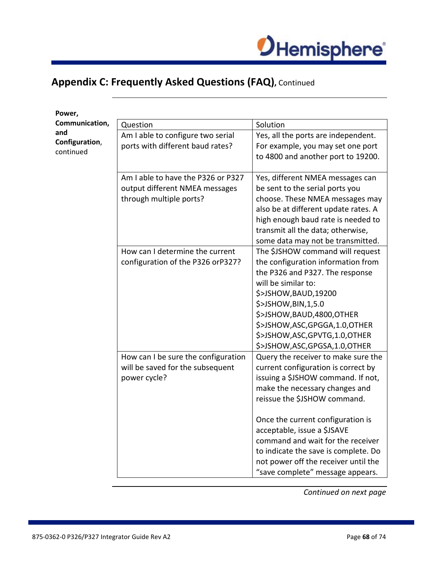

| Power,                |                                     |                                      |
|-----------------------|-------------------------------------|--------------------------------------|
| Communication,        | Question                            | Solution                             |
| and<br>Configuration, | Am I able to configure two serial   | Yes, all the ports are independent.  |
|                       | ports with different baud rates?    | For example, you may set one port    |
| continued             |                                     | to 4800 and another port to 19200.   |
|                       |                                     |                                      |
|                       | Am I able to have the P326 or P327  | Yes, different NMEA messages can     |
|                       | output different NMEA messages      | be sent to the serial ports you      |
|                       | through multiple ports?             | choose. These NMEA messages may      |
|                       |                                     | also be at different update rates. A |
|                       |                                     | high enough baud rate is needed to   |
|                       |                                     | transmit all the data; otherwise,    |
|                       |                                     | some data may not be transmitted.    |
|                       | How can I determine the current     | The \$JSHOW command will request     |
|                       | configuration of the P326 orP327?   | the configuration information from   |
|                       |                                     | the P326 and P327. The response      |
|                       |                                     | will be similar to:                  |
|                       |                                     | \$>JSHOW, BAUD, 19200                |
|                       |                                     | \$>JSHOW, BIN, 1, 5.0                |
|                       |                                     | \$>JSHOW, BAUD, 4800, OTHER          |
|                       |                                     | \$>JSHOW,ASC,GPGGA,1.0,OTHER         |
|                       |                                     | \$>JSHOW,ASC,GPVTG,1.0,OTHER         |
|                       |                                     | \$>JSHOW,ASC,GPGSA,1.0,OTHER         |
|                       | How can I be sure the configuration | Query the receiver to make sure the  |
|                       | will be saved for the subsequent    | current configuration is correct by  |
|                       | power cycle?                        | issuing a \$JSHOW command. If not,   |
|                       |                                     | make the necessary changes and       |
|                       |                                     | reissue the \$JSHOW command.         |
|                       |                                     | Once the current configuration is    |
|                       |                                     | acceptable, issue a \$JSAVE          |
|                       |                                     | command and wait for the receiver    |
|                       |                                     | to indicate the save is complete. Do |
|                       |                                     | not power off the receiver until the |
|                       |                                     | "save complete" message appears.     |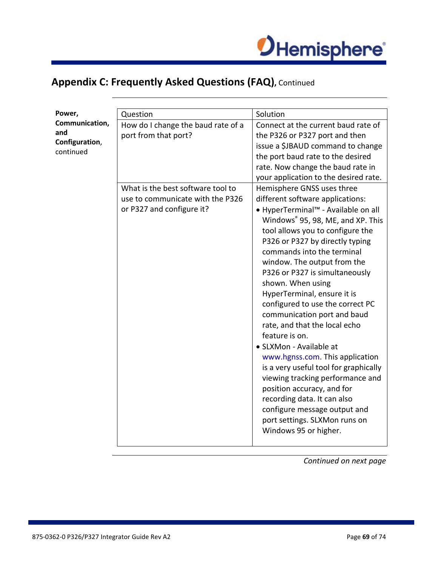

| Power,         | Question                           | Solution                                                                 |
|----------------|------------------------------------|--------------------------------------------------------------------------|
| Communication, | How do I change the baud rate of a | Connect at the current baud rate of                                      |
| and            | port from that port?               | the P326 or P327 port and then                                           |
| Configuration, |                                    | issue a \$JBAUD command to change                                        |
| continued      |                                    | the port baud rate to the desired                                        |
|                |                                    | rate. Now change the baud rate in                                        |
|                |                                    | your application to the desired rate.                                    |
|                | What is the best software tool to  | Hemisphere GNSS uses three                                               |
|                | use to communicate with the P326   | different software applications:                                         |
|                | or P327 and configure it?          | • HyperTerminal™ - Available on all                                      |
|                |                                    | Windows <sup>®</sup> 95, 98, ME, and XP. This                            |
|                |                                    | tool allows you to configure the                                         |
|                |                                    | P326 or P327 by directly typing                                          |
|                |                                    | commands into the terminal                                               |
|                |                                    | window. The output from the                                              |
|                |                                    | P326 or P327 is simultaneously                                           |
|                |                                    | shown. When using                                                        |
|                |                                    | HyperTerminal, ensure it is                                              |
|                |                                    | configured to use the correct PC                                         |
|                |                                    | communication port and baud                                              |
|                |                                    | rate, and that the local echo<br>feature is on.                          |
|                |                                    |                                                                          |
|                |                                    | • SLXMon - Available at                                                  |
|                |                                    | www.hgnss.com. This application<br>is a very useful tool for graphically |
|                |                                    | viewing tracking performance and                                         |
|                |                                    | position accuracy, and for                                               |
|                |                                    | recording data. It can also                                              |
|                |                                    | configure message output and                                             |
|                |                                    | port settings. SLXMon runs on                                            |
|                |                                    | Windows 95 or higher.                                                    |
|                |                                    |                                                                          |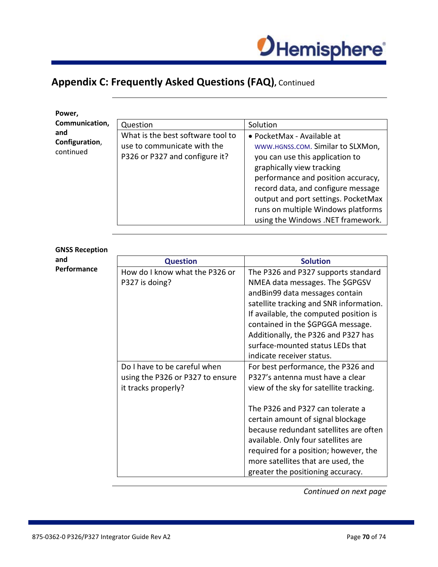

| Power,                             |                                                                                                    |                                                                                                                                                                                                                                                                                                                               |
|------------------------------------|----------------------------------------------------------------------------------------------------|-------------------------------------------------------------------------------------------------------------------------------------------------------------------------------------------------------------------------------------------------------------------------------------------------------------------------------|
| Communication,                     | Question                                                                                           | Solution                                                                                                                                                                                                                                                                                                                      |
| and<br>Configuration,<br>continued | What is the best software tool to<br>use to communicate with the<br>P326 or P327 and configure it? | • PocketMax - Available at<br>WWW.HGNSS.COM. Similar to SLXMon,<br>you can use this application to<br>graphically view tracking<br>performance and position accuracy,<br>record data, and configure message<br>output and port settings. PocketMax<br>runs on multiple Windows platforms<br>using the Windows .NET framework. |
|                                    |                                                                                                    |                                                                                                                                                                                                                                                                                                                               |

**GNSS Reception and Performance**

| <b>Question</b>                  | <b>Solution</b>                         |
|----------------------------------|-----------------------------------------|
| How do I know what the P326 or   | The P326 and P327 supports standard     |
| P327 is doing?                   | NMEA data messages. The \$GPGSV         |
|                                  | andBin99 data messages contain          |
|                                  | satellite tracking and SNR information. |
|                                  | If available, the computed position is  |
|                                  | contained in the \$GPGGA message.       |
|                                  | Additionally, the P326 and P327 has     |
|                                  | surface-mounted status LEDs that        |
|                                  | indicate receiver status.               |
| Do I have to be careful when     | For best performance, the P326 and      |
| using the P326 or P327 to ensure | P327's antenna must have a clear        |
| it tracks properly?              | view of the sky for satellite tracking. |
|                                  |                                         |
|                                  | The P326 and P327 can tolerate a        |
|                                  | certain amount of signal blockage       |
|                                  | because redundant satellites are often  |
|                                  | available. Only four satellites are     |
|                                  | required for a position; however, the   |
|                                  | more satellites that are used, the      |
|                                  | greater the positioning accuracy.       |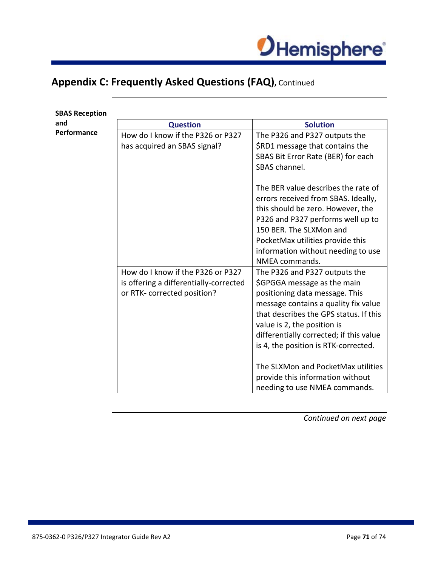

| <b>SBAS Reception</b> |                                        |                                         |
|-----------------------|----------------------------------------|-----------------------------------------|
| and                   | <b>Question</b>                        | <b>Solution</b>                         |
| Performance           | How do I know if the P326 or P327      | The P326 and P327 outputs the           |
|                       | has acquired an SBAS signal?           | \$RD1 message that contains the         |
|                       |                                        | SBAS Bit Error Rate (BER) for each      |
|                       |                                        | SBAS channel.                           |
|                       |                                        | The BER value describes the rate of     |
|                       |                                        | errors received from SBAS. Ideally,     |
|                       |                                        | this should be zero. However, the       |
|                       |                                        | P326 and P327 performs well up to       |
|                       |                                        | 150 BER. The SLXMon and                 |
|                       |                                        | PocketMax utilities provide this        |
|                       |                                        | information without needing to use      |
|                       |                                        | NMEA commands.                          |
|                       | How do I know if the P326 or P327      | The P326 and P327 outputs the           |
|                       | is offering a differentially-corrected | \$GPGGA message as the main             |
|                       | or RTK- corrected position?            | positioning data message. This          |
|                       |                                        | message contains a quality fix value    |
|                       |                                        | that describes the GPS status. If this  |
|                       |                                        | value is 2, the position is             |
|                       |                                        | differentially corrected; if this value |
|                       |                                        | is 4, the position is RTK-corrected.    |
|                       |                                        | The SLXMon and PocketMax utilities      |
|                       |                                        | provide this information without        |
|                       |                                        | needing to use NMEA commands.           |

*Continued on next page*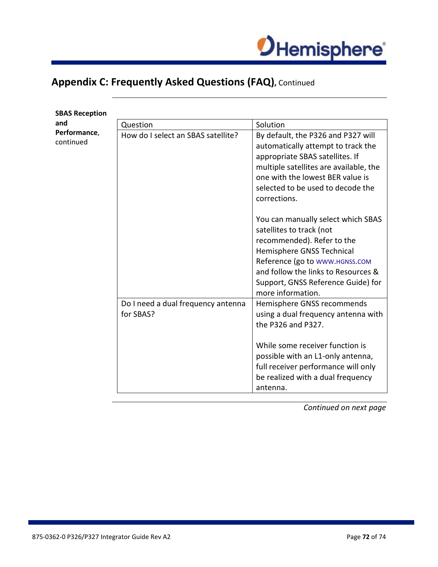

| <b>SBAS Reception</b>     |                                                 |                                                                                                                                                                                                                                                               |
|---------------------------|-------------------------------------------------|---------------------------------------------------------------------------------------------------------------------------------------------------------------------------------------------------------------------------------------------------------------|
| and                       | Question                                        | Solution                                                                                                                                                                                                                                                      |
| Performance,<br>continued | How do I select an SBAS satellite?              | By default, the P326 and P327 will<br>automatically attempt to track the<br>appropriate SBAS satellites. If<br>multiple satellites are available, the<br>one with the lowest BER value is<br>selected to be used to decode the<br>corrections.                |
|                           |                                                 | You can manually select which SBAS<br>satellites to track (not<br>recommended). Refer to the<br>Hemisphere GNSS Technical<br>Reference (go to www.HGNSS.COM<br>and follow the links to Resources &<br>Support, GNSS Reference Guide) for<br>more information. |
|                           | Do I need a dual frequency antenna<br>for SBAS? | Hemisphere GNSS recommends<br>using a dual frequency antenna with<br>the P326 and P327.<br>While some receiver function is<br>possible with an L1-only antenna,<br>full receiver performance will only<br>be realized with a dual frequency<br>antenna.       |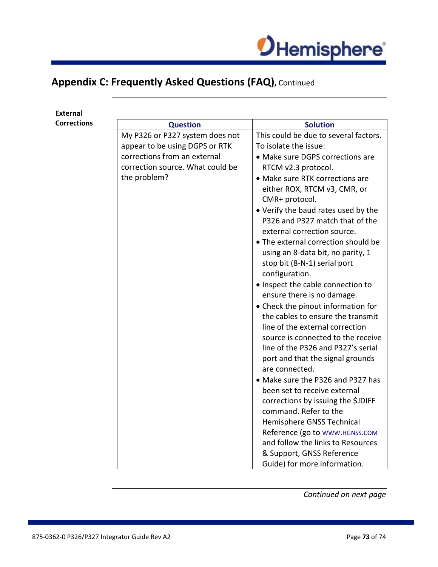

## **Appendix C: Frequently Asked Questions (FAQ),** Continued

| <b>External</b>    |                                  |                                                                     |
|--------------------|----------------------------------|---------------------------------------------------------------------|
| <b>Corrections</b> | <b>Question</b>                  | <b>Solution</b>                                                     |
|                    | My P326 or P327 system does not  | This could be due to several factors.                               |
|                    | appear to be using DGPS or RTK   | To isolate the issue:                                               |
|                    | corrections from an external     | • Make sure DGPS corrections are                                    |
|                    | correction source. What could be | RTCM v2.3 protocol.                                                 |
|                    | the problem?                     | • Make sure RTK corrections are                                     |
|                    |                                  | either ROX, RTCM v3, CMR, or                                        |
|                    |                                  | CMR+ protocol.                                                      |
|                    |                                  | • Verify the baud rates used by the                                 |
|                    |                                  | P326 and P327 match that of the<br>external correction source.      |
|                    |                                  | • The external correction should be                                 |
|                    |                                  | using an 8-data bit, no parity, 1                                   |
|                    |                                  | stop bit (8-N-1) serial port                                        |
|                    |                                  | configuration.                                                      |
|                    |                                  | . Inspect the cable connection to                                   |
|                    |                                  | ensure there is no damage.                                          |
|                    |                                  | • Check the pinout information for                                  |
|                    |                                  | the cables to ensure the transmit                                   |
|                    |                                  | line of the external correction                                     |
|                    |                                  | source is connected to the receive                                  |
|                    |                                  | line of the P326 and P327's serial                                  |
|                    |                                  | port and that the signal grounds                                    |
|                    |                                  | are connected.                                                      |
|                    |                                  | • Make sure the P326 and P327 has                                   |
|                    |                                  | been set to receive external                                        |
|                    |                                  | corrections by issuing the \$JDIFF                                  |
|                    |                                  | command. Refer to the                                               |
|                    |                                  | Hemisphere GNSS Technical                                           |
|                    |                                  | Reference (go to WWW.HGNSS.COM<br>and follow the links to Resources |
|                    |                                  |                                                                     |
|                    |                                  | & Support, GNSS Reference<br>Guide) for more information.           |
|                    |                                  |                                                                     |

*Continued on next page*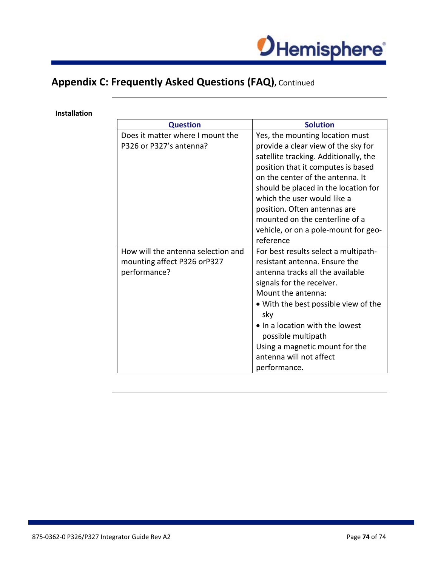

## **Appendix C: Frequently Asked Questions (FAQ),** Continued

#### **Installation**

| <b>Question</b>                    | <b>Solution</b>                       |
|------------------------------------|---------------------------------------|
| Does it matter where I mount the   | Yes, the mounting location must       |
| P326 or P327's antenna?            | provide a clear view of the sky for   |
|                                    | satellite tracking. Additionally, the |
|                                    | position that it computes is based    |
|                                    | on the center of the antenna. It      |
|                                    | should be placed in the location for  |
|                                    | which the user would like a           |
|                                    | position. Often antennas are          |
|                                    | mounted on the centerline of a        |
|                                    | vehicle, or on a pole-mount for geo-  |
|                                    | reference                             |
| How will the antenna selection and | For best results select a multipath-  |
| mounting affect P326 orP327        | resistant antenna. Ensure the         |
| performance?                       | antenna tracks all the available      |
|                                    | signals for the receiver.             |
|                                    | Mount the antenna:                    |
|                                    | • With the best possible view of the  |
|                                    | sky                                   |
|                                    | • In a location with the lowest       |
|                                    | possible multipath                    |
|                                    | Using a magnetic mount for the        |
|                                    | antenna will not affect               |
|                                    | performance.                          |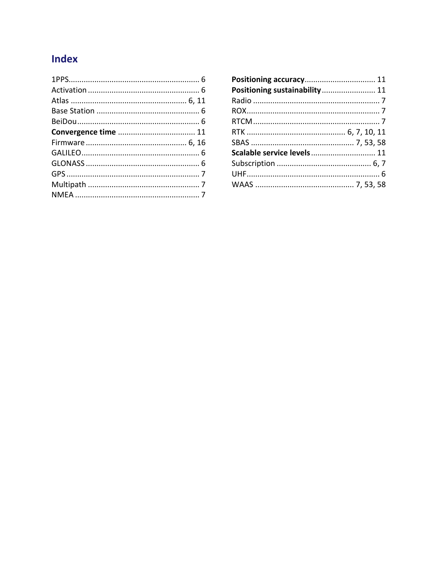## Index

| Positioning sustainability 11 |  |
|-------------------------------|--|
|                               |  |
|                               |  |
|                               |  |
|                               |  |
|                               |  |
| Scalable service levels 11    |  |
|                               |  |
|                               |  |
|                               |  |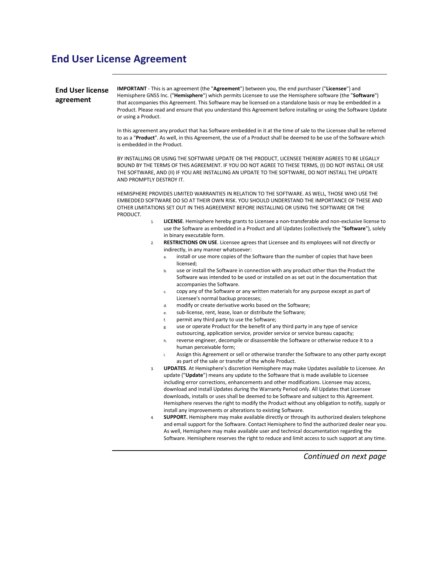## **End User License Agreement**

| <b>End User license</b><br>agreement | IMPORTANT - This is an agreement (the "Agreement") between you, the end purchaser ("Licensee") and<br>Hemisphere GNSS Inc. ("Hemisphere") which permits Licensee to use the Hemisphere software (the "Software")<br>that accompanies this Agreement. This Software may be licensed on a standalone basis or may be embedded in a<br>Product. Please read and ensure that you understand this Agreement before installing or using the Software Update<br>or using a Product.<br>In this agreement any product that has Software embedded in it at the time of sale to the Licensee shall be referred<br>to as a "Product". As well, in this Agreement, the use of a Product shall be deemed to be use of the Software which<br>is embedded in the Product.<br>BY INSTALLING OR USING THE SOFTWARE UPDATE OR THE PRODUCT, LICENSEE THEREBY AGREES TO BE LEGALLY<br>BOUND BY THE TERMS OF THIS AGREEMENT. IF YOU DO NOT AGREE TO THESE TERMS, (I) DO NOT INSTALL OR USE<br>THE SOFTWARE, AND (II) IF YOU ARE INSTALLING AN UPDATE TO THE SOFTWARE, DO NOT INSTALL THE UPDATE<br>AND PROMPTLY DESTROY IT.<br>HEMISPHERE PROVIDES LIMITED WARRANTIES IN RELATION TO THE SOFTWARE. AS WELL, THOSE WHO USE THE<br>EMBEDDED SOFTWARE DO SO AT THEIR OWN RISK. YOU SHOULD UNDERSTAND THE IMPORTANCE OF THESE AND<br>OTHER LIMITATIONS SET OUT IN THIS AGREEMENT BEFORE INSTALLING OR USING THE SOFTWARE OR THE |  |
|--------------------------------------|--------------------------------------------------------------------------------------------------------------------------------------------------------------------------------------------------------------------------------------------------------------------------------------------------------------------------------------------------------------------------------------------------------------------------------------------------------------------------------------------------------------------------------------------------------------------------------------------------------------------------------------------------------------------------------------------------------------------------------------------------------------------------------------------------------------------------------------------------------------------------------------------------------------------------------------------------------------------------------------------------------------------------------------------------------------------------------------------------------------------------------------------------------------------------------------------------------------------------------------------------------------------------------------------------------------------------------------------------------------------------------------------------------|--|
|                                      | PRODUCT.<br><b>LICENSE.</b> Hemisphere hereby grants to Licensee a non-transferable and non-exclusive license to<br>$\mathbf{1}$<br>use the Software as embedded in a Product and all Updates (collectively the "Software"), solely                                                                                                                                                                                                                                                                                                                                                                                                                                                                                                                                                                                                                                                                                                                                                                                                                                                                                                                                                                                                                                                                                                                                                                    |  |
|                                      | in binary executable form.<br><b>RESTRICTIONS ON USE.</b> Licensee agrees that Licensee and its employees will not directly or<br>$\overline{2}$<br>indirectly, in any manner whatsoever:                                                                                                                                                                                                                                                                                                                                                                                                                                                                                                                                                                                                                                                                                                                                                                                                                                                                                                                                                                                                                                                                                                                                                                                                              |  |
|                                      | install or use more copies of the Software than the number of copies that have been<br>a.<br>licensed;<br>use or install the Software in connection with any product other than the Product the<br>b.<br>Software was intended to be used or installed on as set out in the documentation that                                                                                                                                                                                                                                                                                                                                                                                                                                                                                                                                                                                                                                                                                                                                                                                                                                                                                                                                                                                                                                                                                                         |  |
|                                      | accompanies the Software.<br>copy any of the Software or any written materials for any purpose except as part of<br>c.<br>Licensee's normal backup processes;                                                                                                                                                                                                                                                                                                                                                                                                                                                                                                                                                                                                                                                                                                                                                                                                                                                                                                                                                                                                                                                                                                                                                                                                                                          |  |
|                                      | modify or create derivative works based on the Software;<br>d.<br>sub-license, rent, lease, loan or distribute the Software;<br>e.<br>permit any third party to use the Software;<br>f.                                                                                                                                                                                                                                                                                                                                                                                                                                                                                                                                                                                                                                                                                                                                                                                                                                                                                                                                                                                                                                                                                                                                                                                                                |  |
|                                      | use or operate Product for the benefit of any third party in any type of service<br>g.<br>outsourcing, application service, provider service or service bureau capacity;<br>reverse engineer, decompile or disassemble the Software or otherwise reduce it to a<br>h.<br>human perceivable form;                                                                                                                                                                                                                                                                                                                                                                                                                                                                                                                                                                                                                                                                                                                                                                                                                                                                                                                                                                                                                                                                                                       |  |
|                                      | Assign this Agreement or sell or otherwise transfer the Software to any other party except<br>i.<br>as part of the sale or transfer of the whole Product.                                                                                                                                                                                                                                                                                                                                                                                                                                                                                                                                                                                                                                                                                                                                                                                                                                                                                                                                                                                                                                                                                                                                                                                                                                              |  |
|                                      | UPDATES. At Hemisphere's discretion Hemisphere may make Updates available to Licensee. An<br>3.<br>update ("Update") means any update to the Software that is made available to Licensee<br>including error corrections, enhancements and other modifications. Licensee may access,<br>download and install Updates during the Warranty Period only. All Updates that Licensee<br>downloads, installs or uses shall be deemed to be Software and subject to this Agreement.<br>Hemisphere reserves the right to modify the Product without any obligation to notify, supply or                                                                                                                                                                                                                                                                                                                                                                                                                                                                                                                                                                                                                                                                                                                                                                                                                         |  |
|                                      | install any improvements or alterations to existing Software.<br><b>SUPPORT.</b> Hemisphere may make available directly or through its authorized dealers telephone<br>4.<br>and email support for the Software. Contact Hemisphere to find the authorized dealer near you.<br>As well, Hemisphere may make available user and technical documentation regarding the<br>Software. Hemisphere reserves the right to reduce and limit access to such support at any time.                                                                                                                                                                                                                                                                                                                                                                                                                                                                                                                                                                                                                                                                                                                                                                                                                                                                                                                                |  |
|                                      | Continued on next page                                                                                                                                                                                                                                                                                                                                                                                                                                                                                                                                                                                                                                                                                                                                                                                                                                                                                                                                                                                                                                                                                                                                                                                                                                                                                                                                                                                 |  |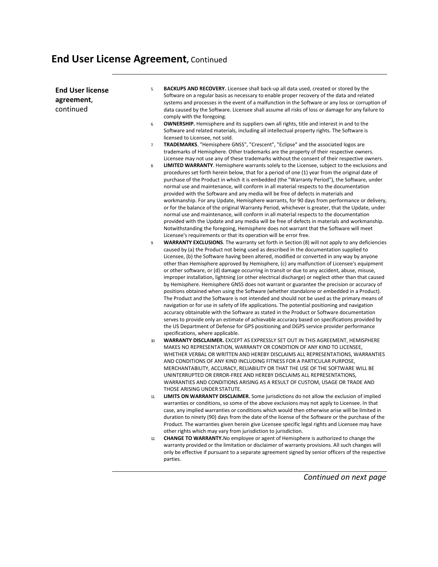# **End User License Agreement,** Continued

| <b>End User license</b><br>agreement,<br>continued | 5.  | <b>BACKUPS AND RECOVERY.</b> Licensee shall back-up all data used, created or stored by the<br>Software on a regular basis as necessary to enable proper recovery of the data and related<br>systems and processes in the event of a malfunction in the Software or any loss or corruption of<br>data caused by the Software. Licensee shall assume all risks of loss or damage for any failure to                                                                                                                                                                                                                                                                                                                                                                                                                                                                                                                                                                                                                                                                                                                                                                                                                                                                                                                                                                                                                                                                                                                                                                                                                                                                                                                                                                                                                                                                                                                                                                                                                                                                                                                                                                                                                             |
|----------------------------------------------------|-----|--------------------------------------------------------------------------------------------------------------------------------------------------------------------------------------------------------------------------------------------------------------------------------------------------------------------------------------------------------------------------------------------------------------------------------------------------------------------------------------------------------------------------------------------------------------------------------------------------------------------------------------------------------------------------------------------------------------------------------------------------------------------------------------------------------------------------------------------------------------------------------------------------------------------------------------------------------------------------------------------------------------------------------------------------------------------------------------------------------------------------------------------------------------------------------------------------------------------------------------------------------------------------------------------------------------------------------------------------------------------------------------------------------------------------------------------------------------------------------------------------------------------------------------------------------------------------------------------------------------------------------------------------------------------------------------------------------------------------------------------------------------------------------------------------------------------------------------------------------------------------------------------------------------------------------------------------------------------------------------------------------------------------------------------------------------------------------------------------------------------------------------------------------------------------------------------------------------------------------|
|                                                    | 6.  | comply with the foregoing.<br><b>OWNERSHIP.</b> Hemisphere and its suppliers own all rights, title and interest in and to the<br>Software and related materials, including all intellectual property rights. The Software is                                                                                                                                                                                                                                                                                                                                                                                                                                                                                                                                                                                                                                                                                                                                                                                                                                                                                                                                                                                                                                                                                                                                                                                                                                                                                                                                                                                                                                                                                                                                                                                                                                                                                                                                                                                                                                                                                                                                                                                                   |
|                                                    | 7.  | licensed to Licensee, not sold.<br>TRADEMARKS. "Hemisphere GNSS", "Crescent", "Eclipse" and the associated logos are<br>trademarks of Hemisphere. Other trademarks are the property of their respective owners.                                                                                                                                                                                                                                                                                                                                                                                                                                                                                                                                                                                                                                                                                                                                                                                                                                                                                                                                                                                                                                                                                                                                                                                                                                                                                                                                                                                                                                                                                                                                                                                                                                                                                                                                                                                                                                                                                                                                                                                                                |
|                                                    | 8.  | Licensee may not use any of these trademarks without the consent of their respective owners.<br><b>LIMITED WARRANTY.</b> Hemisphere warrants solely to the Licensee, subject to the exclusions and                                                                                                                                                                                                                                                                                                                                                                                                                                                                                                                                                                                                                                                                                                                                                                                                                                                                                                                                                                                                                                                                                                                                                                                                                                                                                                                                                                                                                                                                                                                                                                                                                                                                                                                                                                                                                                                                                                                                                                                                                             |
|                                                    | 9.  | procedures set forth herein below, that for a period of one (1) year from the original date of<br>purchase of the Product in which it is embedded (the "Warranty Period"), the Software, under<br>normal use and maintenance, will conform in all material respects to the documentation<br>provided with the Software and any media will be free of defects in materials and<br>workmanship. For any Update, Hemisphere warrants, for 90 days from performance or delivery,<br>or for the balance of the original Warranty Period, whichever is greater, that the Update, under<br>normal use and maintenance, will conform in all material respects to the documentation<br>provided with the Update and any media will be free of defects in materials and workmanship.<br>Notwithstanding the foregoing, Hemisphere does not warrant that the Software will meet<br>Licensee's requirements or that its operation will be error free.<br><b>WARRANTY EXCLUSIONS.</b> The warranty set forth in Section (8) will not apply to any deficiencies<br>caused by (a) the Product not being used as described in the documentation supplied to<br>Licensee, (b) the Software having been altered, modified or converted in any way by anyone<br>other than Hemisphere approved by Hemisphere, (c) any malfunction of Licensee's equipment<br>or other software, or (d) damage occurring in transit or due to any accident, abuse, misuse,<br>improper installation, lightning (or other electrical discharge) or neglect other than that caused<br>by Hemisphere. Hemisphere GNSS does not warrant or guarantee the precision or accuracy of<br>positions obtained when using the Software (whether standalone or embedded in a Product).<br>The Product and the Software is not intended and should not be used as the primary means of<br>navigation or for use in safety of life applications. The potential positioning and navigation<br>accuracy obtainable with the Software as stated in the Product or Software documentation<br>serves to provide only an estimate of achievable accuracy based on specifications provided by<br>the US Department of Defense for GPS positioning and DGPS service provider performance |
|                                                    |     | specifications, where applicable.                                                                                                                                                                                                                                                                                                                                                                                                                                                                                                                                                                                                                                                                                                                                                                                                                                                                                                                                                                                                                                                                                                                                                                                                                                                                                                                                                                                                                                                                                                                                                                                                                                                                                                                                                                                                                                                                                                                                                                                                                                                                                                                                                                                              |
|                                                    | 10. | <b>WARRANTY DISCLAIMER.</b> EXCEPT AS EXPRESSLY SET OUT IN THIS AGREEMENT, HEMISPHERE<br>MAKES NO REPRESENTATION, WARRANTY OR CONDITION OF ANY KIND TO LICENSEE,<br>WHETHER VERBAL OR WRITTEN AND HEREBY DISCLAIMS ALL REPRESENTATIONS, WARRANTIES<br>AND CONDITIONS OF ANY KIND INCLUDING FITNESS FOR A PARTICULAR PURPOSE,<br>MERCHANTABILITY, ACCURACY, RELIABILITY OR THAT THE USE OF THE SOFTWARE WILL BE<br>UNINTERRUPTED OR ERROR-FREE AND HEREBY DISCLAIMS ALL REPRESENTATIONS,<br>WARRANTIES AND CONDITIONS ARISING AS A RESULT OF CUSTOM, USAGE OR TRADE AND<br>THOSE ARISING UNDER STATUTE.                                                                                                                                                                                                                                                                                                                                                                                                                                                                                                                                                                                                                                                                                                                                                                                                                                                                                                                                                                                                                                                                                                                                                                                                                                                                                                                                                                                                                                                                                                                                                                                                                         |
|                                                    | 11. | <b>LIMITS ON WARRANTY DISCLAIMER.</b> Some jurisdictions do not allow the exclusion of implied<br>warranties or conditions, so some of the above exclusions may not apply to Licensee. In that<br>case, any implied warranties or conditions which would then otherwise arise will be limited in                                                                                                                                                                                                                                                                                                                                                                                                                                                                                                                                                                                                                                                                                                                                                                                                                                                                                                                                                                                                                                                                                                                                                                                                                                                                                                                                                                                                                                                                                                                                                                                                                                                                                                                                                                                                                                                                                                                               |
|                                                    |     | duration to ninety (90) days from the date of the license of the Software or the purchase of the<br>Product. The warranties given herein give Licensee specific legal rights and Licensee may have<br>other rights which may vary from jurisdiction to jurisdiction.                                                                                                                                                                                                                                                                                                                                                                                                                                                                                                                                                                                                                                                                                                                                                                                                                                                                                                                                                                                                                                                                                                                                                                                                                                                                                                                                                                                                                                                                                                                                                                                                                                                                                                                                                                                                                                                                                                                                                           |
|                                                    | 12. | <b>CHANGE TO WARRANTY.</b> No employee or agent of Hemisphere is authorized to change the<br>warranty provided or the limitation or disclaimer of warranty provisions. All such changes will<br>only be effective if pursuant to a separate agreement signed by senior officers of the respective<br>parties.                                                                                                                                                                                                                                                                                                                                                                                                                                                                                                                                                                                                                                                                                                                                                                                                                                                                                                                                                                                                                                                                                                                                                                                                                                                                                                                                                                                                                                                                                                                                                                                                                                                                                                                                                                                                                                                                                                                  |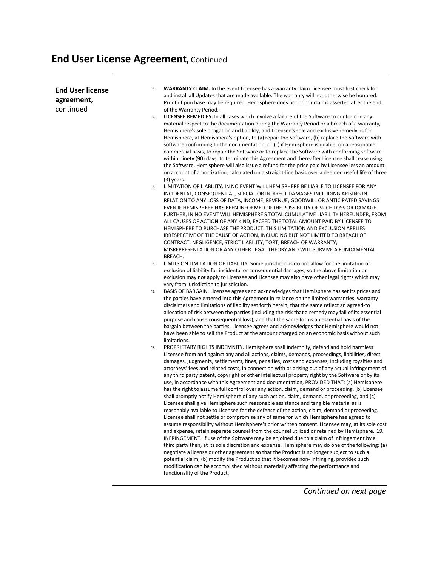## **End User License Agreement,** Continued

| <b>End User license</b><br>agreement, | 13. | <b>WARRANTY CLAIM.</b> In the event Licensee has a warranty claim Licensee must first check for<br>and install all Updates that are made available. The warranty will not otherwise be honored.<br>Proof of purchase may be required. Hemisphere does not honor claims asserted after the end                                                                                                                                                                                                                                                                                                                                                                                                                                                                                                                                                                                                                                                                                                                                                                                                                                                                                                                                                                                                                                                                                                                                                                                                                                                                                                                                                                                                                                                                                                           |
|---------------------------------------|-----|---------------------------------------------------------------------------------------------------------------------------------------------------------------------------------------------------------------------------------------------------------------------------------------------------------------------------------------------------------------------------------------------------------------------------------------------------------------------------------------------------------------------------------------------------------------------------------------------------------------------------------------------------------------------------------------------------------------------------------------------------------------------------------------------------------------------------------------------------------------------------------------------------------------------------------------------------------------------------------------------------------------------------------------------------------------------------------------------------------------------------------------------------------------------------------------------------------------------------------------------------------------------------------------------------------------------------------------------------------------------------------------------------------------------------------------------------------------------------------------------------------------------------------------------------------------------------------------------------------------------------------------------------------------------------------------------------------------------------------------------------------------------------------------------------------|
| continued                             |     | of the Warranty Period.                                                                                                                                                                                                                                                                                                                                                                                                                                                                                                                                                                                                                                                                                                                                                                                                                                                                                                                                                                                                                                                                                                                                                                                                                                                                                                                                                                                                                                                                                                                                                                                                                                                                                                                                                                                 |
|                                       | 14. | <b>LICENSEE REMEDIES.</b> In all cases which involve a failure of the Software to conform in any<br>material respect to the documentation during the Warranty Period or a breach of a warranty,<br>Hemisphere's sole obligation and liability, and Licensee's sole and exclusive remedy, is for<br>Hemisphere, at Hemisphere's option, to (a) repair the Software, (b) replace the Software with<br>software conforming to the documentation, or (c) if Hemisphere is unable, on a reasonable<br>commercial basis, to repair the Software or to replace the Software with conforming software<br>within ninety (90) days, to terminate this Agreement and thereafter Licensee shall cease using<br>the Software. Hemisphere will also issue a refund for the price paid by Licensee less an amount<br>on account of amortization, calculated on a straight-line basis over a deemed useful life of three                                                                                                                                                                                                                                                                                                                                                                                                                                                                                                                                                                                                                                                                                                                                                                                                                                                                                                |
|                                       | 15. | $(3)$ years.<br>LIMITATION OF LIABILITY. IN NO EVENT WILL HEMISPHERE BE LIABLE TO LICENSEE FOR ANY<br>INCIDENTAL, CONSEQUENTIAL, SPECIAL OR INDIRECT DAMAGES INCLUDING ARISING IN<br>RELATION TO ANY LOSS OF DATA, INCOME, REVENUE, GOODWILL OR ANTICIPATED SAVINGS<br>EVEN IF HEMISPHERE HAS BEEN INFORMED OFTHE POSSIBILITY OF SUCH LOSS OR DAMAGE.<br>FURTHER, IN NO EVENT WILL HEMISPHERE'S TOTAL CUMULATIVE LIABILITY HEREUNDER, FROM<br>ALL CAUSES OF ACTION OF ANY KIND, EXCEED THE TOTAL AMOUNT PAID BY LICENSEE TO<br>HEMISPHERE TO PURCHASE THE PRODUCT. THIS LIMITATION AND EXCLUSION APPLIES<br>IRRESPECTIVE OF THE CAUSE OF ACTION, INCLUDING BUT NOT LIMITED TO BREACH OF<br>CONTRACT, NEGLIGENCE, STRICT LIABILITY, TORT, BREACH OF WARRANTY,<br>MISREPRESENTATION OR ANY OTHER LEGAL THEORY AND WILL SURVIVE A FUNDAMENTAL                                                                                                                                                                                                                                                                                                                                                                                                                                                                                                                                                                                                                                                                                                                                                                                                                                                                                                                                                              |
|                                       |     | BREACH.                                                                                                                                                                                                                                                                                                                                                                                                                                                                                                                                                                                                                                                                                                                                                                                                                                                                                                                                                                                                                                                                                                                                                                                                                                                                                                                                                                                                                                                                                                                                                                                                                                                                                                                                                                                                 |
|                                       | 16. | LIMITS ON LIMITATION OF LIABILITY. Some jurisdictions do not allow for the limitation or<br>exclusion of liability for incidental or consequential damages, so the above limitation or<br>exclusion may not apply to Licensee and Licensee may also have other legal rights which may                                                                                                                                                                                                                                                                                                                                                                                                                                                                                                                                                                                                                                                                                                                                                                                                                                                                                                                                                                                                                                                                                                                                                                                                                                                                                                                                                                                                                                                                                                                   |
|                                       | 17. | vary from jurisdiction to jurisdiction.<br>BASIS OF BARGAIN. Licensee agrees and acknowledges that Hemisphere has set its prices and<br>the parties have entered into this Agreement in reliance on the limited warranties, warranty<br>disclaimers and limitations of liability set forth herein, that the same reflect an agreed-to<br>allocation of risk between the parties (including the risk that a remedy may fail of its essential                                                                                                                                                                                                                                                                                                                                                                                                                                                                                                                                                                                                                                                                                                                                                                                                                                                                                                                                                                                                                                                                                                                                                                                                                                                                                                                                                             |
|                                       |     | purpose and cause consequential loss), and that the same forms an essential basis of the<br>bargain between the parties. Licensee agrees and acknowledges that Hemisphere would not<br>have been able to sell the Product at the amount charged on an economic basis without such<br>limitations.                                                                                                                                                                                                                                                                                                                                                                                                                                                                                                                                                                                                                                                                                                                                                                                                                                                                                                                                                                                                                                                                                                                                                                                                                                                                                                                                                                                                                                                                                                       |
|                                       | 18. | PROPRIETARY RIGHTS INDEMNITY. Hemisphere shall indemnify, defend and hold harmless<br>Licensee from and against any and all actions, claims, demands, proceedings, liabilities, direct<br>damages, judgments, settlements, fines, penalties, costs and expenses, including royalties and<br>attorneys' fees and related costs, in connection with or arising out of any actual infringement of<br>any third party patent, copyright or other intellectual property right by the Software or by its<br>use, in accordance with this Agreement and documentation, PROVIDED THAT: (a) Hemisphere<br>has the right to assume full control over any action, claim, demand or proceeding, (b) Licensee<br>shall promptly notify Hemisphere of any such action, claim, demand, or proceeding, and (c)<br>Licensee shall give Hemisphere such reasonable assistance and tangible material as is<br>reasonably available to Licensee for the defense of the action, claim, demand or proceeding.<br>Licensee shall not settle or compromise any of same for which Hemisphere has agreed to<br>assume responsibility without Hemisphere's prior written consent. Licensee may, at its sole cost<br>and expense, retain separate counsel from the counsel utilized or retained by Hemisphere. 19.<br>INFRINGEMENT. If use of the Software may be enjoined due to a claim of infringement by a<br>third party then, at its sole discretion and expense, Hemisphere may do one of the following: (a)<br>negotiate a license or other agreement so that the Product is no longer subject to such a<br>potential claim, (b) modify the Product so that it becomes non- infringing, provided such<br>modification can be accomplished without materially affecting the performance and<br>functionality of the Product, |
|                                       |     |                                                                                                                                                                                                                                                                                                                                                                                                                                                                                                                                                                                                                                                                                                                                                                                                                                                                                                                                                                                                                                                                                                                                                                                                                                                                                                                                                                                                                                                                                                                                                                                                                                                                                                                                                                                                         |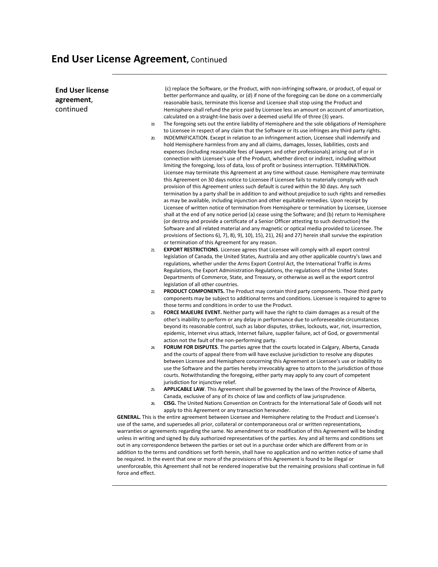#### **End User License Agreement,** Continued

**End User license agreement**, continued (c) replace the Software, or the Product, with non-infringing software, or product, of equal or better performance and quality, or (d) if none of the foregoing can be done on a commercially reasonable basis, terminate this license and Licensee shall stop using the Product and Hemisphere shall refund the price paid by Licensee less an amount on account of amortization, calculated on a straight-line basis over a deemed useful life of three (3) years. 19. The foregoing sets out the entire liability of Hemisphere and the sole obligations of Hemisphere to Licensee in respect of any claim that the Software or its use infringes any third party rights. 20. INDEMNIFICATION. Except in relation to an infringement action, Licensee shall indemnify and hold Hemisphere harmless from any and all claims, damages, losses, liabilities, costs and expenses (including reasonable fees of lawyers and other professionals) arising out of or in connection with Licensee's use of the Product, whether direct or indirect, including without limiting the foregoing, loss of data, loss of profit or business interruption. TERMINATION. Licensee may terminate this Agreement at any time without cause. Hemisphere may terminate this Agreement on 30 days notice to Licensee if Licensee fails to materially comply with each provision of this Agreement unless such default is cured within the 30 days. Any such termination by a party shall be in addition to and without prejudice to such rights and remedies as may be available, including injunction and other equitable remedies. Upon receipt by Licensee of written notice of termination from Hemisphere or termination by Licensee, Licensee shall at the end of any notice period (a) cease using the Software; and (b) return to Hemisphere (or destroy and provide a certificate of a Senior Officer attesting to such destruction) the Software and all related material and any magnetic or optical media provided to Licensee. The provisions of Sections 6), 7), 8), 9), 10), 15), 21), 26) and 27) herein shall survive the expiration or termination of this Agreement for any reason. 21. **EXPORT RESTRICTIONS**. Licensee agrees that Licensee will comply with all export control legislation of Canada, the United States, Australia and any other applicable country's laws and regulations, whether under the Arms Export Control Act, the International Traffic in Arms Regulations, the Export Administration Regulations, the regulations of the United States Departments of Commerce, State, and Treasury, or otherwise as well as the export control legislation of all other countries. 22. **PRODUCT COMPONENTS.** The Product may contain third party components. Those third party components may be subject to additional terms and conditions. Licensee is required to agree to those terms and conditions in order to use the Product. 23. **FORCE MAJEURE EVENT.** Neither party will have the right to claim damages as a result of the other's inability to perform or any delay in performance due to unforeseeable circumstances beyond its reasonable control, such as labor disputes, strikes, lockouts, war, riot, insurrection, epidemic, Internet virus attack, Internet failure, supplier failure, act of God, or governmental action not the fault of the non-performing party. 24. **FORUM FOR DISPUTES**. The parties agree that the courts located in Calgary, Alberta, Canada and the courts of appeal there from will have exclusive jurisdiction to resolve any disputes between Licensee and Hemisphere concerning this Agreement or Licensee's use or inability to use the Software and the parties hereby irrevocably agree to attorn to the jurisdiction of those courts. Notwithstanding the foregoing, either party may apply to any court of competent jurisdiction for injunctive relief. 25. **APPLICABLE LAW**. This Agreement shall be governed by the laws of the Province of Alberta, Canada, exclusive of any of its choice of law and conflicts of law jurisprudence. 26. **CISG.** The United Nations Convention on Contracts for the International Sale of Goods will not apply to this Agreement or any transaction hereunder. **GENERAL.** This is the entire agreement between Licensee and Hemisphere relating to the Product and Licensee's use of the same, and supersedes all prior, collateral or contemporaneous oral or written representations, warranties or agreements regarding the same. No amendment to or modification of this Agreement will be binding unless in writing and signed by duly authorized representatives of the parties. Any and all terms and conditions set out in any correspondence between the parties or set out in a purchase order which are different from or in addition to the terms and conditions set forth herein, shall have no application and no written notice of same shall be required. In the event that one or more of the provisions of this Agreement is found to be illegal or unenforceable, this Agreement shall not be rendered inoperative but the remaining provisions shall continue in full force and effect.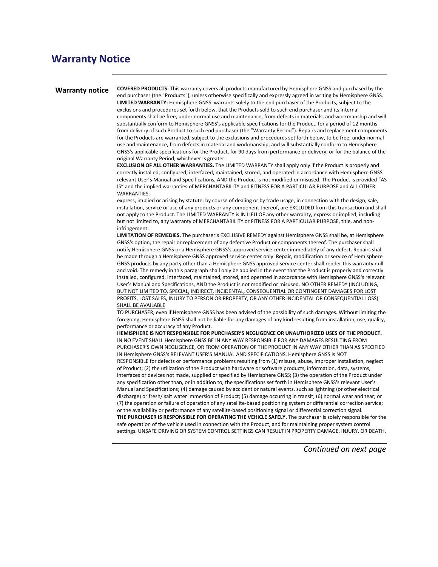#### **Warranty Notice**

**Warranty notice COVERED PRODUCTS:** This warranty covers all products manufactured by Hemisphere GNSS and purchased by the end purchaser (the "Products"), unless otherwise specifically and expressly agreed in writing by Hemisphere GNSS. **LIMITED WARRANTY:** Hemisphere GNSS warrants solely to the end purchaser of the Products, subject to the exclusions and procedures set forth below, that the Products sold to such end purchaser and its internal components shall be free, under normal use and maintenance, from defects in materials, and workmanship and will substantially conform to Hemisphere GNSS's applicable specifications for the Product, for a period of 12 months from delivery of such Product to such end purchaser (the "Warranty Period"). Repairs and replacement components for the Products are warranted, subject to the exclusions and procedures set forth below, to be free, under normal use and maintenance, from defects in material and workmanship, and will substantially conform to Hemisphere GNSS's applicable specifications for the Product, for 90 days from performance or delivery, or for the balance of the original Warranty Period, whichever is greater.

> **EXCLUSION OF ALL OTHER WARRANTIES.** The LIMITED WARRANTY shall apply only if the Product is properly and correctly installed, configured, interfaced, maintained, stored, and operated in accordance with Hemisphere GNSS relevant User's Manual and Specifications, AND the Product is not modified or misused. The Product is provided "AS IS" and the implied warranties of MERCHANTABILITY and FITNESS FOR A PARTICULAR PURPOSE and ALL OTHER WARRANTIES,

> express, implied or arising by statute, by course of dealing or by trade usage, in connection with the design, sale, installation, service or use of any products or any component thereof, are EXCLUDED from this transaction and shall not apply to the Product. The LIMITED WARRANTY is IN LIEU OF any other warranty, express or implied, including but not limited to, any warranty of MERCHANTABILITY or FITNESS FOR A PARTICULAR PURPOSE, title, and noninfringement.

> **LIMITATION OF REMEDIES.** The purchaser's EXCLUSIVE REMEDY against Hemisphere GNSS shall be, at Hemisphere GNSS's option, the repair or replacement of any defective Product or components thereof. The purchaser shall notify Hemisphere GNSS or a Hemisphere GNSS's approved service center immediately of any defect. Repairs shall be made through a Hemisphere GNSS approved service center only. Repair, modification or service of Hemisphere GNSS products by any party other than a Hemisphere GNSS approved service center shall render this warranty null and void. The remedy in this paragraph shall only be applied in the event that the Product is properly and correctly installed, configured, interfaced, maintained, stored, and operated in accordance with Hemisphere GNSS's relevant User's Manual and Specifications, AND the Product is not modified or misused. NO OTHER REMEDY (INCLUDING, BUT NOT LIMITED TO, SPECIAL, INDIRECT, INCIDENTAL, CONSEQUENTIAL OR CONTINGENT DAMAGES FOR LOST PROFITS, LOST SALES, INJURY TO PERSON OR PROPERTY, OR ANY OTHER INCIDENTAL OR CONSEQUENTIAL LOSS) SHALL BE AVAILABLE

> TO PURCHASER, even if Hemisphere GNSS has been advised of the possibility of such damages. Without limiting the foregoing, Hemisphere GNSS shall not be liable for any damages of any kind resulting from installation, use, quality, performance or accuracy of any Product.

> **HEMISPHERE IS NOT RESPONSIBLE FOR PURCHASER'S NEGLIGENCE OR UNAUTHORIZED USES OF THE PRODUCT.**  IN NO EVENT SHALL Hemisphere GNSS BE IN ANY WAY RESPONSIBLE FOR ANY DAMAGES RESULTING FROM PURCHASER'S OWN NEGLIGENCE, OR FROM OPERATION OF THE PRODUCT IN ANY WAY OTHER THAN AS SPECIFIED IN Hemisphere GNSS's RELEVANT USER'S MANUAL AND SPECIFICATIONS. Hemisphere GNSS is NOT RESPONSIBLE for defects or performance problems resulting from (1) misuse, abuse, improper installation, neglect of Product; (2) the utilization of the Product with hardware or software products, information, data, systems, interfaces or devices not made, supplied or specified by Hemisphere GNSS; (3) the operation of the Product under any specification other than, or in addition to, the specifications set forth in Hemisphere GNSS's relevant User's Manual and Specifications; (4) damage caused by accident or natural events, such as lightning (or other electrical discharge) or fresh/ salt water immersion of Product; (5) damage occurring in transit; (6) normal wear and tear; or (7) the operation or failure of operation of any satellite-based positioning system or differential correction service; or the availability or performance of any satellite-based positioning signal or differential correction signal. **THE PURCHASER IS RESPONSIBLE FOR OPERATING THE VEHICLE SAFELY.** The purchaser is solely responsible for the safe operation of the vehicle used in connection with the Product, and for maintaining proper system control settings. UNSAFE DRIVING OR SYSTEM CONTROL SETTINGS CAN RESULT IN PROPERTY DAMAGE, INJURY, OR DEATH.

> > *Continued on next page*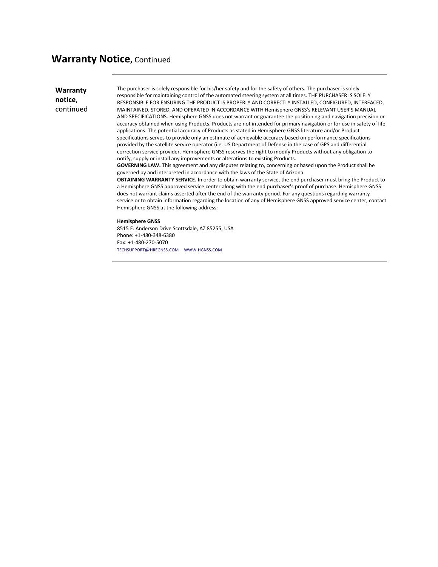#### **Warranty Notice,** Continued

**Warranty notice**, continued The purchaser is solely responsible for his/her safety and for the safety of others. The purchaser is solely responsible for maintaining control of the automated steering system at all times. THE PURCHASER IS SOLELY RESPONSIBLE FOR ENSURING THE PRODUCT IS PROPERLY AND CORRECTLY INSTALLED, CONFIGURED, INTERFACED, MAINTAINED, STORED, AND OPERATED IN ACCORDANCE WITH Hemisphere GNSS's RELEVANT USER'S MANUAL AND SPECIFICATIONS. Hemisphere GNSS does not warrant or guarantee the positioning and navigation precision or accuracy obtained when using Products. Products are not intended for primary navigation or for use in safety of life applications. The potential accuracy of Products as stated in Hemisphere GNSS literature and/or Product specifications serves to provide only an estimate of achievable accuracy based on performance specifications provided by the satellite service operator (i.e. US Department of Defense in the case of GPS and differential correction service provider. Hemisphere GNSS reserves the right to modify Products without any obligation to notify, supply or install any improvements or alterations to existing Products.

**GOVERNING LAW.** This agreement and any disputes relating to, concerning or based upon the Product shall be governed by and interpreted in accordance with the laws of the State of Arizona.

**OBTAINING WARRANTY SERVICE.** In order to obtain warranty service, the end purchaser must bring the Product to a Hemisphere GNSS approved service center along with the end purchaser's proof of purchase. Hemisphere GNSS does not warrant claims asserted after the end of the warranty period. For any questions regarding warranty service or to obtain information regarding the location of any of Hemisphere GNSS approved service center, contact Hemisphere GNSS at the following address:

#### **Hemisphere GNSS**

8515 E. Anderson Drive Scottsdale, AZ 85255, USA Phone: +1-480-348-6380 Fax: +1-480-270-5070 [TECHSUPPORT@HREGNSS.COM](mailto:techsupport@hregnss.com) [WWW.HGNSS.COM](http://www.hgnss.com/)